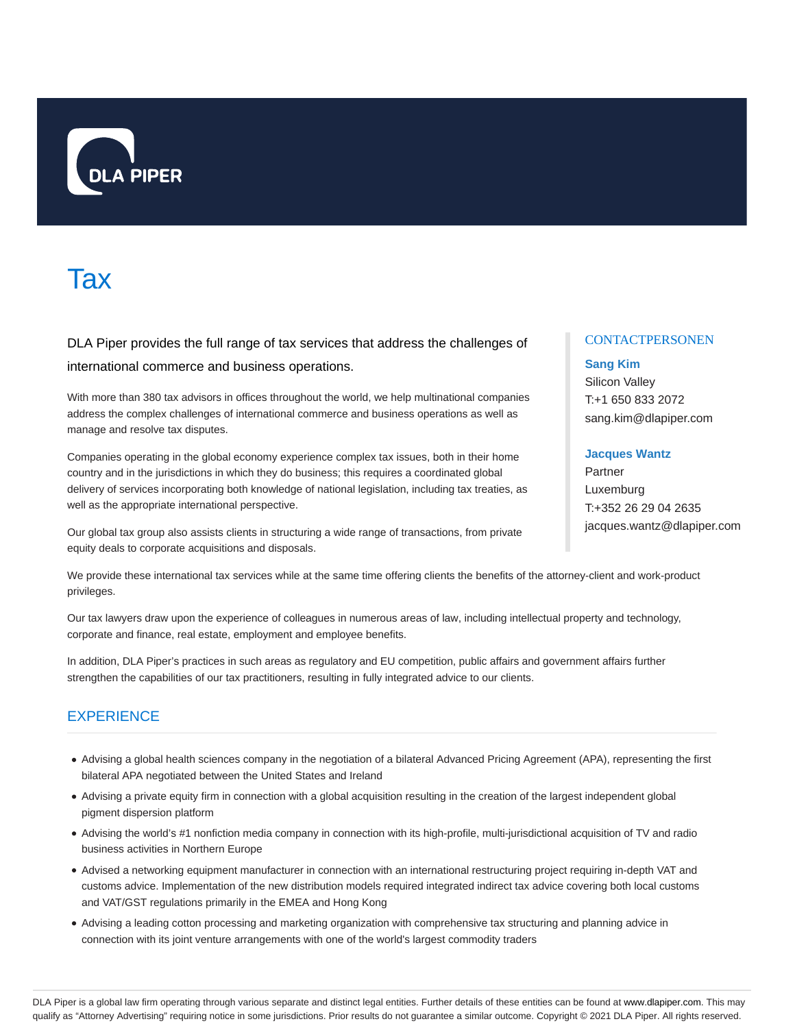

# **Tax**

DLA Piper provides the full range of tax services that address the challenges of international commerce and business operations.

With more than 380 tax advisors in offices throughout the world, we help multinational companies address the complex challenges of international commerce and business operations as well as manage and resolve tax disputes.

Companies operating in the global economy experience complex tax issues, both in their home country and in the jurisdictions in which they do business; this requires a coordinated global delivery of services incorporating both knowledge of national legislation, including tax treaties, as well as the appropriate international perspective.

Our global tax group also assists clients in structuring a wide range of transactions, from private equity deals to corporate acquisitions and disposals.

# **CONTACTPERSONEN**

# **Sang Kim**

Silicon Valley T:+1 650 833 2072 sang.kim@dlapiper.com

# **Jacques Wantz**

Partner Luxemburg T:+352 26 29 04 2635 jacques.wantz@dlapiper.com

We provide these international tax services while at the same time offering clients the benefits of the attorney-client and work-product privileges.

Our tax lawyers draw upon the experience of colleagues in numerous areas of law, including intellectual property and technology, corporate and finance, real estate, employment and employee benefits.

In addition, DLA Piper's practices in such areas as regulatory and EU competition, public affairs and government affairs further strengthen the capabilities of our tax practitioners, resulting in fully integrated advice to our clients.

# **EXPERIENCE**

- Advising a global health sciences company in the negotiation of a bilateral Advanced Pricing Agreement (APA), representing the first bilateral APA negotiated between the United States and Ireland
- Advising a private equity firm in connection with a global acquisition resulting in the creation of the largest independent global pigment dispersion platform
- Advising the world's #1 nonfiction media company in connection with its high-profile, multi-jurisdictional acquisition of TV and radio business activities in Northern Europe
- Advised a networking equipment manufacturer in connection with an international restructuring project requiring in-depth VAT and customs advice. Implementation of the new distribution models required integrated indirect tax advice covering both local customs and VAT/GST regulations primarily in the EMEA and Hong Kong
- Advising a leading cotton processing and marketing organization with comprehensive tax structuring and planning advice in connection with its joint venture arrangements with one of the world's largest commodity traders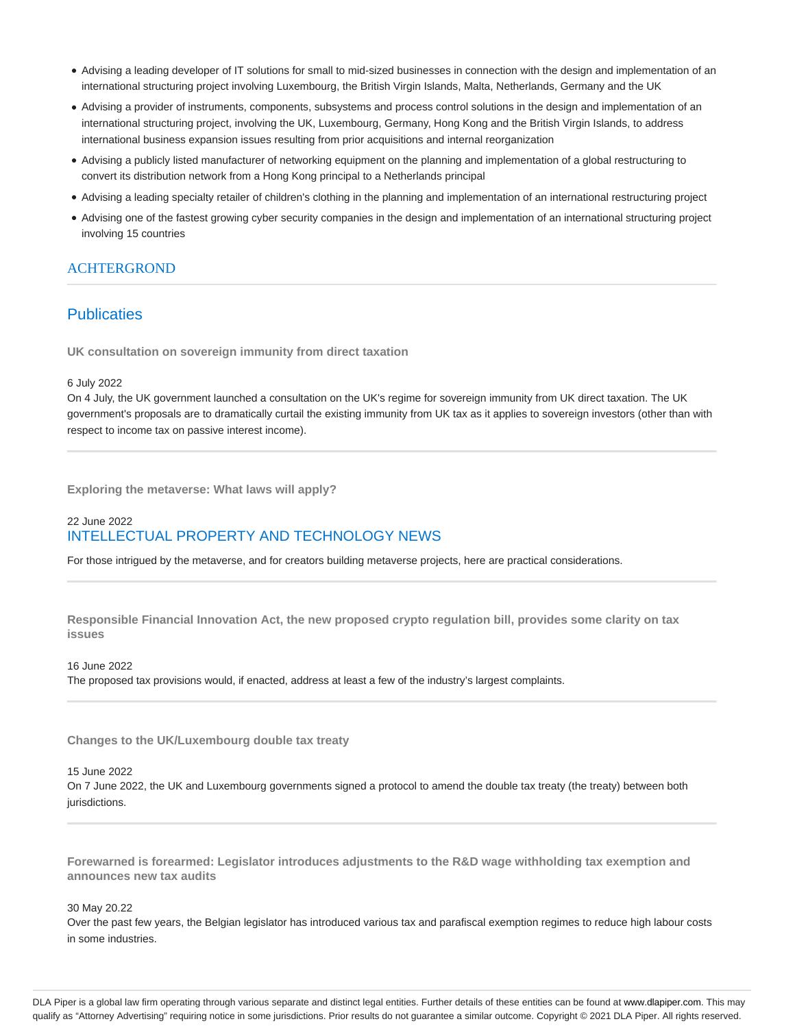- Advising a leading developer of IT solutions for small to mid-sized businesses in connection with the design and implementation of an international structuring project involving Luxembourg, the British Virgin Islands, Malta, Netherlands, Germany and the UK
- Advising a provider of instruments, components, subsystems and process control solutions in the design and implementation of an international structuring project, involving the UK, Luxembourg, Germany, Hong Kong and the British Virgin Islands, to address international business expansion issues resulting from prior acquisitions and internal reorganization
- Advising a publicly listed manufacturer of networking equipment on the planning and implementation of a global restructuring to convert its distribution network from a Hong Kong principal to a Netherlands principal
- Advising a leading specialty retailer of children's clothing in the planning and implementation of an international restructuring project
- Advising one of the fastest growing cyber security companies in the design and implementation of an international structuring project involving 15 countries

# **ACHTERGROND**

# **Publicaties**

**UK consultation on sovereign immunity from direct taxation**

#### 6 July 2022

On 4 July, the UK government launched a consultation on the UK's regime for sovereign immunity from UK direct taxation. The UK government's proposals are to dramatically curtail the existing immunity from UK tax as it applies to sovereign investors (other than with respect to income tax on passive interest income).

**Exploring the metaverse: What laws will apply?**

# 22 June 2022 INTELLECTUAL PROPERTY AND TECHNOLOGY NEWS

For those intrigued by the metaverse, and for creators building metaverse projects, here are practical considerations.

**Responsible Financial Innovation Act, the new proposed crypto regulation bill, provides some clarity on tax issues**

16 June 2022 The proposed tax provisions would, if enacted, address at least a few of the industry's largest complaints.

**Changes to the UK/Luxembourg double tax treaty**

#### 15 June 2022

On 7 June 2022, the UK and Luxembourg governments signed a protocol to amend the double tax treaty (the treaty) between both jurisdictions.

**Forewarned is forearmed: Legislator introduces adjustments to the R&D wage withholding tax exemption and announces new tax audits**

#### 30 May 20.22

Over the past few years, the Belgian legislator has introduced various tax and parafiscal exemption regimes to reduce high labour costs in some industries.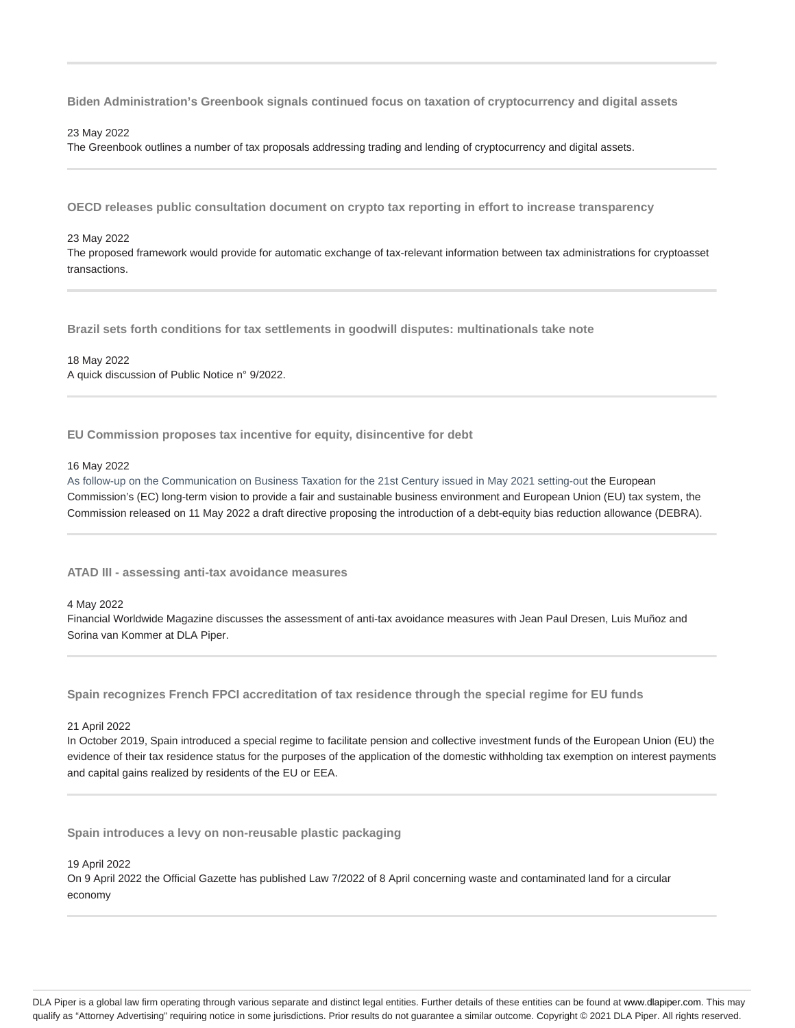**Biden Administration's Greenbook signals continued focus on taxation of cryptocurrency and digital assets**

#### 23 May 2022

The Greenbook outlines a number of tax proposals addressing trading and lending of cryptocurrency and digital assets.

**OECD releases public consultation document on crypto tax reporting in effort to increase transparency**

#### 23 May 2022

The proposed framework would provide for automatic exchange of tax-relevant information between tax administrations for cryptoasset transactions.

**Brazil sets forth conditions for tax settlements in goodwill disputes: multinationals take note**

18 May 2022 A quick discussion of Public Notice n° 9/2022.

**EU Commission proposes tax incentive for equity, disincentive for debt**

#### 16 May 2022

As follow-up on the Communication on Business Taxation for the 21st Century issued in May 2021 setting-out the European Commission's (EC) long-term vision to provide a fair and sustainable business environment and European Union (EU) tax system, the Commission released on 11 May 2022 a draft directive proposing the introduction of a debt-equity bias reduction allowance (DEBRA).

**ATAD III - assessing anti-tax avoidance measures**

#### 4 May 2022

Financial Worldwide Magazine discusses the assessment of anti-tax avoidance measures with Jean Paul Dresen, Luis Muñoz and Sorina van Kommer at DLA Piper.

**Spain recognizes French FPCI accreditation of tax residence through the special regime for EU funds**

#### 21 April 2022

In October 2019, Spain introduced a special regime to facilitate pension and collective investment funds of the European Union (EU) the evidence of their tax residence status for the purposes of the application of the domestic withholding tax exemption on interest payments and capital gains realized by residents of the EU or EEA.

**Spain introduces a levy on non-reusable plastic packaging**

19 April 2022

On 9 April 2022 the Official Gazette has published Law 7/2022 of 8 April concerning waste and contaminated land for a circular economy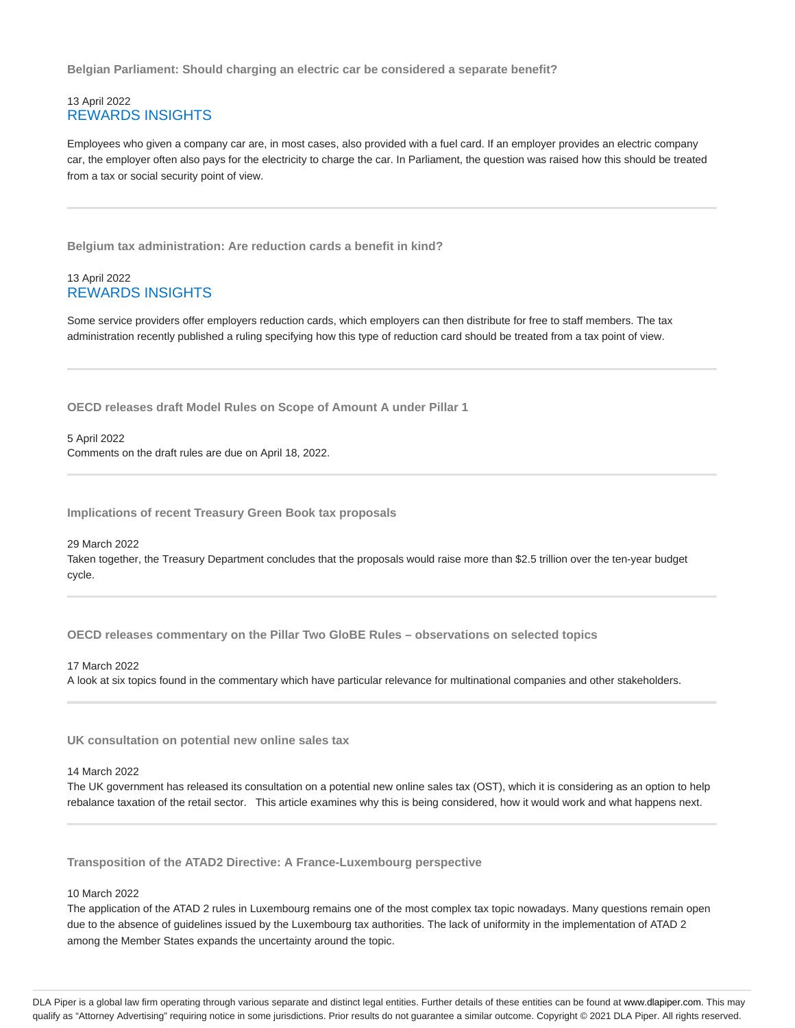**Belgian Parliament: Should charging an electric car be considered a separate benefit?**

# 13 April 2022 REWARDS INSIGHTS

Employees who given a company car are, in most cases, also provided with a fuel card. If an employer provides an electric company car, the employer often also pays for the electricity to charge the car. In Parliament, the question was raised how this should be treated from a tax or social security point of view.

**Belgium tax administration: Are reduction cards a benefit in kind?**

# 13 April 2022 REWARDS INSIGHTS

Some service providers offer employers reduction cards, which employers can then distribute for free to staff members. The tax administration recently published a ruling specifying how this type of reduction card should be treated from a tax point of view.

**OECD releases draft Model Rules on Scope of Amount A under Pillar 1**

5 April 2022 Comments on the draft rules are due on April 18, 2022.

**Implications of recent Treasury Green Book tax proposals**

29 March 2022 Taken together, the Treasury Department concludes that the proposals would raise more than \$2.5 trillion over the ten-year budget cycle.

**OECD releases commentary on the Pillar Two GloBE Rules – observations on selected topics**

17 March 2022 A look at six topics found in the commentary which have particular relevance for multinational companies and other stakeholders.

**UK consultation on potential new online sales tax**

#### 14 March 2022

The UK government has released its consultation on a potential new online sales tax (OST), which it is considering as an option to help rebalance taxation of the retail sector. This article examines why this is being considered, how it would work and what happens next.

**Transposition of the ATAD2 Directive: A France-Luxembourg perspective**

#### 10 March 2022

The application of the ATAD 2 rules in Luxembourg remains one of the most complex tax topic nowadays. Many questions remain open due to the absence of guidelines issued by the Luxembourg tax authorities. The lack of uniformity in the implementation of ATAD 2 among the Member States expands the uncertainty around the topic.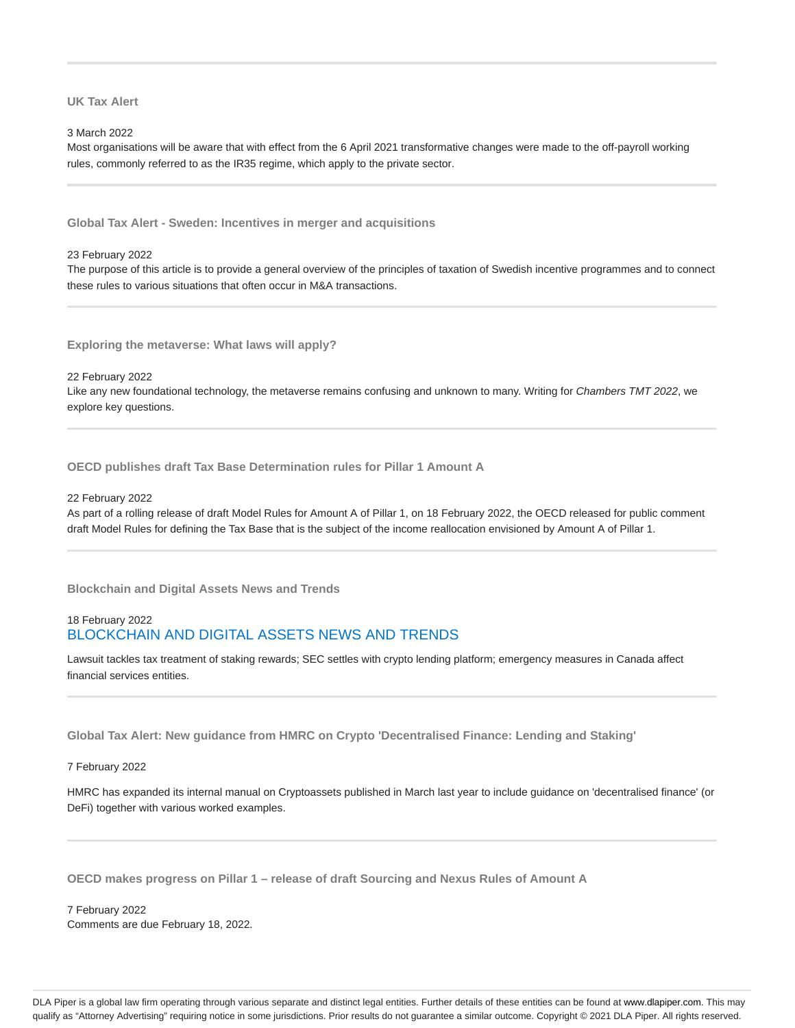**UK Tax Alert**

3 March 2022

Most organisations will be aware that with effect from the 6 April 2021 transformative changes were made to the off-payroll working rules, commonly referred to as the IR35 regime, which apply to the private sector.

**Global Tax Alert - Sweden: Incentives in merger and acquisitions**

23 February 2022

The purpose of this article is to provide a general overview of the principles of taxation of Swedish incentive programmes and to connect these rules to various situations that often occur in M&A transactions.

**Exploring the metaverse: What laws will apply?**

22 February 2022 Like any new foundational technology, the metaverse remains confusing and unknown to many. Writing for Chambers TMT 2022, we explore key questions.

**OECD publishes draft Tax Base Determination rules for Pillar 1 Amount A**

22 February 2022

As part of a rolling release of draft Model Rules for Amount A of Pillar 1, on 18 February 2022, the OECD released for public comment draft Model Rules for defining the Tax Base that is the subject of the income reallocation envisioned by Amount A of Pillar 1.

**Blockchain and Digital Assets News and Trends**

# 18 February 2022 BLOCKCHAIN AND DIGITAL ASSETS NEWS AND TRENDS

Lawsuit tackles tax treatment of staking rewards; SEC settles with crypto lending platform; emergency measures in Canada affect financial services entities.

**Global Tax Alert: New guidance from HMRC on Crypto 'Decentralised Finance: Lending and Staking'**

7 February 2022

HMRC has expanded its internal manual on Cryptoassets published in March last year to include guidance on 'decentralised finance' (or DeFi) together with various worked examples.

**OECD makes progress on Pillar 1 – release of draft Sourcing and Nexus Rules of Amount A**

7 February 2022 Comments are due February 18, 2022.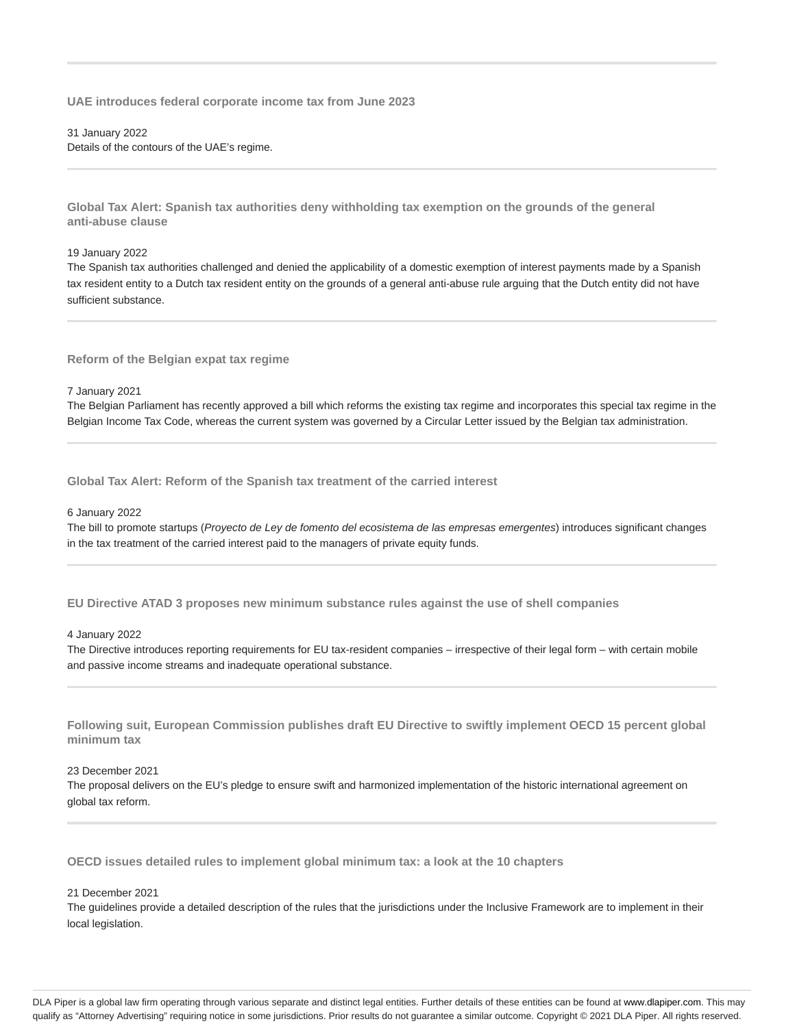**UAE introduces federal corporate income tax from June 2023**

## 31 January 2022 Details of the contours of the UAE's regime.

**Global Tax Alert: Spanish tax authorities deny withholding tax exemption on the grounds of the general anti-abuse clause**

#### 19 January 2022

The Spanish tax authorities challenged and denied the applicability of a domestic exemption of interest payments made by a Spanish tax resident entity to a Dutch tax resident entity on the grounds of a general anti-abuse rule arguing that the Dutch entity did not have sufficient substance.

**Reform of the Belgian expat tax regime**

#### 7 January 2021

The Belgian Parliament has recently approved a bill which reforms the existing tax regime and incorporates this special tax regime in the Belgian Income Tax Code, whereas the current system was governed by a Circular Letter issued by the Belgian tax administration.

**Global Tax Alert: Reform of the Spanish tax treatment of the carried interest**

#### 6 January 2022

The bill to promote startups (Proyecto de Ley de fomento del ecosistema de las empresas emergentes) introduces significant changes in the tax treatment of the carried interest paid to the managers of private equity funds.

**EU Directive ATAD 3 proposes new minimum substance rules against the use of shell companies**

### 4 January 2022

The Directive introduces reporting requirements for EU tax-resident companies – irrespective of their legal form – with certain mobile and passive income streams and inadequate operational substance.

**Following suit, European Commission publishes draft EU Directive to swiftly implement OECD 15 percent global minimum tax**

# 23 December 2021

The proposal delivers on the EU's pledge to ensure swift and harmonized implementation of the historic international agreement on global tax reform.

**OECD issues detailed rules to implement global minimum tax: a look at the 10 chapters**

### 21 December 2021

The guidelines provide a detailed description of the rules that the jurisdictions under the Inclusive Framework are to implement in their local legislation.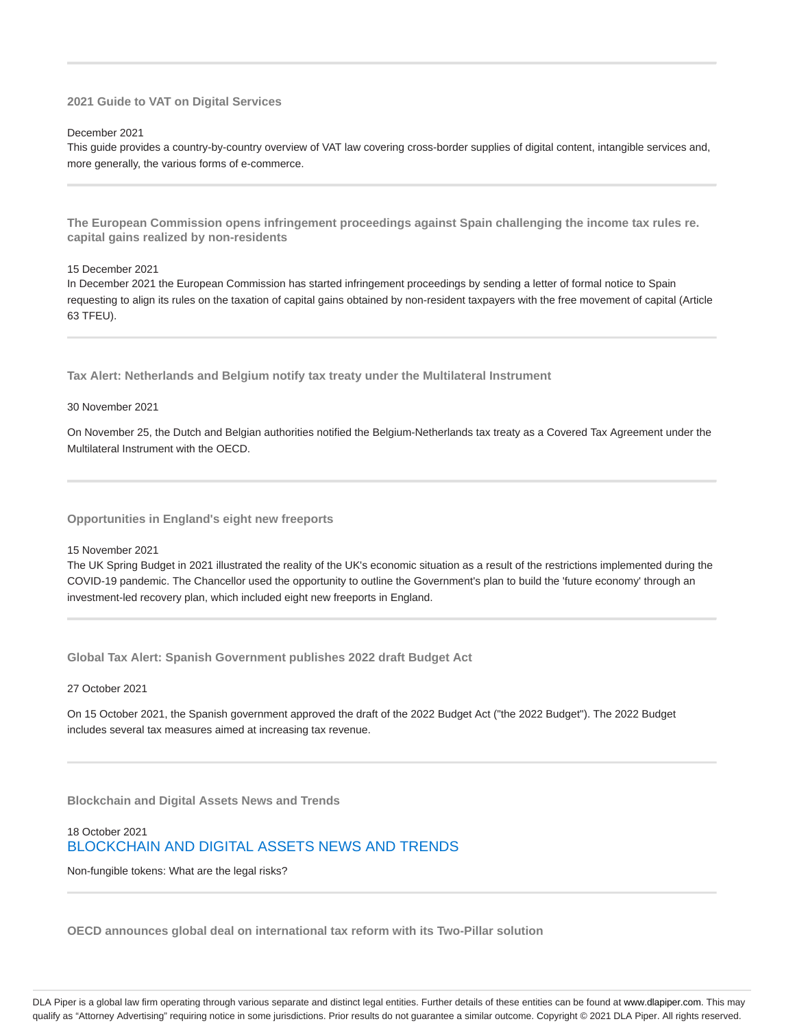# **2021 Guide to VAT on Digital Services**

#### December 2021

This guide provides a country-by-country overview of VAT law covering cross-border supplies of digital content, intangible services and, more generally, the various forms of e-commerce.

**The European Commission opens infringement proceedings against Spain challenging the income tax rules re. capital gains realized by non-residents**

#### 15 December 2021

In December 2021 the European Commission has started infringement proceedings by sending a letter of formal notice to Spain requesting to align its rules on the taxation of capital gains obtained by non-resident taxpayers with the free movement of capital (Article 63 TFEU).

**Tax Alert: Netherlands and Belgium notify tax treaty under the Multilateral Instrument**

#### 30 November 2021

On November 25, the Dutch and Belgian authorities notified the Belgium-Netherlands tax treaty as a Covered Tax Agreement under the Multilateral Instrument with the OECD.

**Opportunities in England's eight new freeports**

15 November 2021

The UK Spring Budget in 2021 illustrated the reality of the UK's economic situation as a result of the restrictions implemented during the COVID-19 pandemic. The Chancellor used the opportunity to outline the Government's plan to build the 'future economy' through an investment-led recovery plan, which included eight new freeports in England.

**Global Tax Alert: Spanish Government publishes 2022 draft Budget Act**

27 October 2021

On 15 October 2021, the Spanish government approved the draft of the 2022 Budget Act ("the 2022 Budget"). The 2022 Budget includes several tax measures aimed at increasing tax revenue.

**Blockchain and Digital Assets News and Trends**

# 18 October 2021 BLOCKCHAIN AND DIGITAL ASSETS NEWS AND TRENDS

Non-fungible tokens: What are the legal risks?

**OECD announces global deal on international tax reform with its Two-Pillar solution**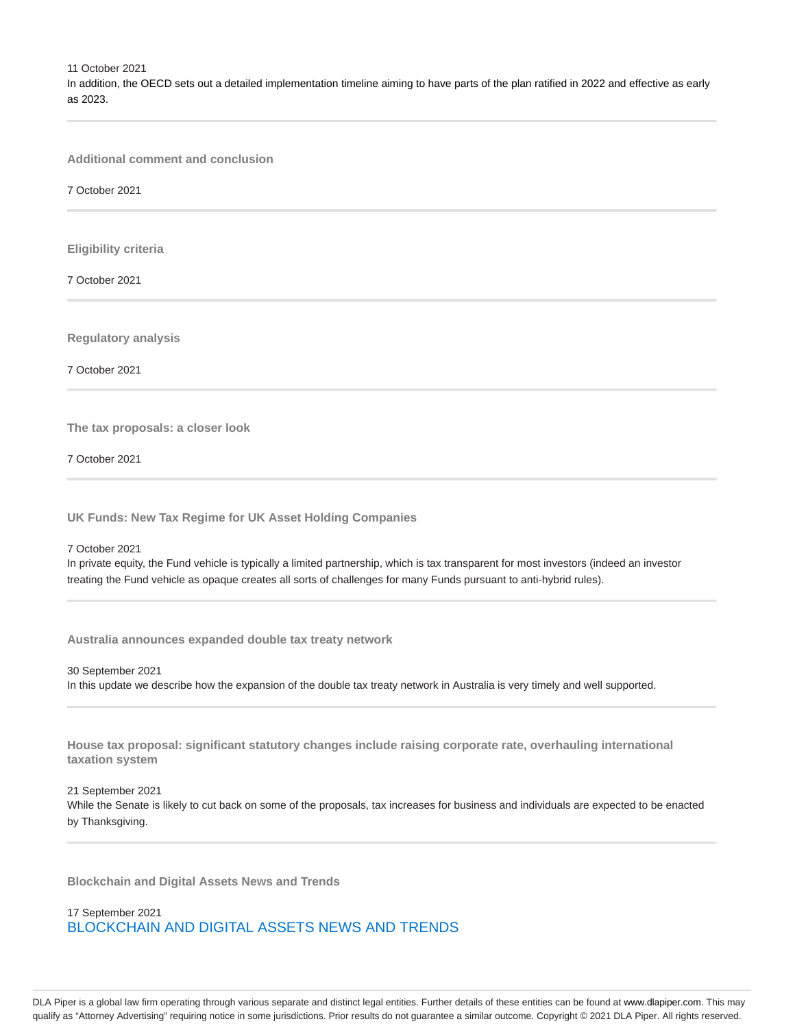11 October 2021 In addition, the OECD sets out a detailed implementation timeline aiming to have parts of the plan ratified in 2022 and effective as early as 2023.

**Additional comment and conclusion**

7 October 2021

**Eligibility criteria**

7 October 2021

**Regulatory analysis**

7 October 2021

**The tax proposals: a closer look**

7 October 2021

**UK Funds: New Tax Regime for UK Asset Holding Companies**

7 October 2021

In private equity, the Fund vehicle is typically a limited partnership, which is tax transparent for most investors (indeed an investor treating the Fund vehicle as opaque creates all sorts of challenges for many Funds pursuant to anti-hybrid rules).

**Australia announces expanded double tax treaty network**

30 September 2021 In this update we describe how the expansion of the double tax treaty network in Australia is very timely and well supported.

**House tax proposal: significant statutory changes include raising corporate rate, overhauling international taxation system**

21 September 2021 While the Senate is likely to cut back on some of the proposals, tax increases for business and individuals are expected to be enacted by Thanksgiving.

**Blockchain and Digital Assets News and Trends**

17 September 2021 BLOCKCHAIN AND DIGITAL ASSETS NEWS AND TRENDS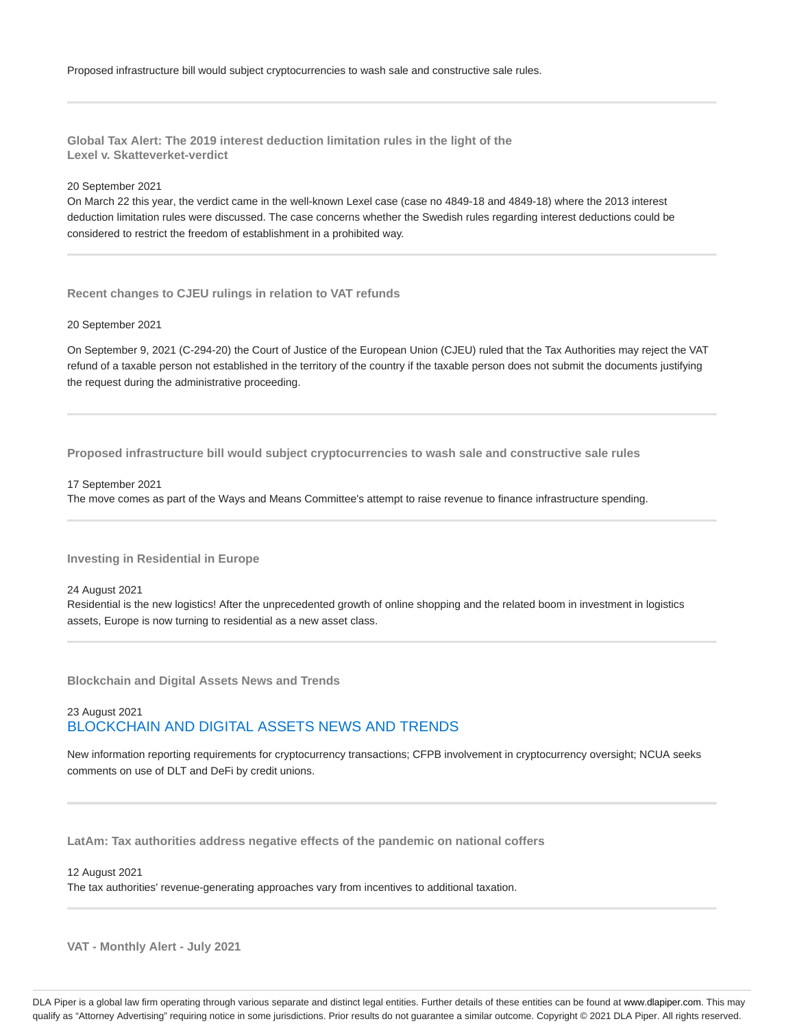**Global Tax Alert: The 2019 interest deduction limitation rules in the light of the Lexel v. Skatteverket-verdict**

20 September 2021

On March 22 this year, the verdict came in the well-known Lexel case (case no 4849-18 and 4849-18) where the 2013 interest deduction limitation rules were discussed. The case concerns whether the Swedish rules regarding interest deductions could be considered to restrict the freedom of establishment in a prohibited way.

**Recent changes to CJEU rulings in relation to VAT refunds**

20 September 2021

On September 9, 2021 (C-294-20) the Court of Justice of the European Union (CJEU) ruled that the Tax Authorities may reject the VAT refund of a taxable person not established in the territory of the country if the taxable person does not submit the documents justifying the request during the administrative proceeding.

**Proposed infrastructure bill would subject cryptocurrencies to wash sale and constructive sale rules**

17 September 2021

The move comes as part of the Ways and Means Committee's attempt to raise revenue to finance infrastructure spending.

**Investing in Residential in Europe**

24 August 2021

Residential is the new logistics! After the unprecedented growth of online shopping and the related boom in investment in logistics assets, Europe is now turning to residential as a new asset class.

**Blockchain and Digital Assets News and Trends**

# 23 August 2021 BLOCKCHAIN AND DIGITAL ASSETS NEWS AND TRENDS

New information reporting requirements for cryptocurrency transactions; CFPB involvement in cryptocurrency oversight; NCUA seeks comments on use of DLT and DeFi by credit unions.

**LatAm: Tax authorities address negative effects of the pandemic on national coffers**

12 August 2021

The tax authorities' revenue-generating approaches vary from incentives to additional taxation.

**VAT - Monthly Alert - July 2021**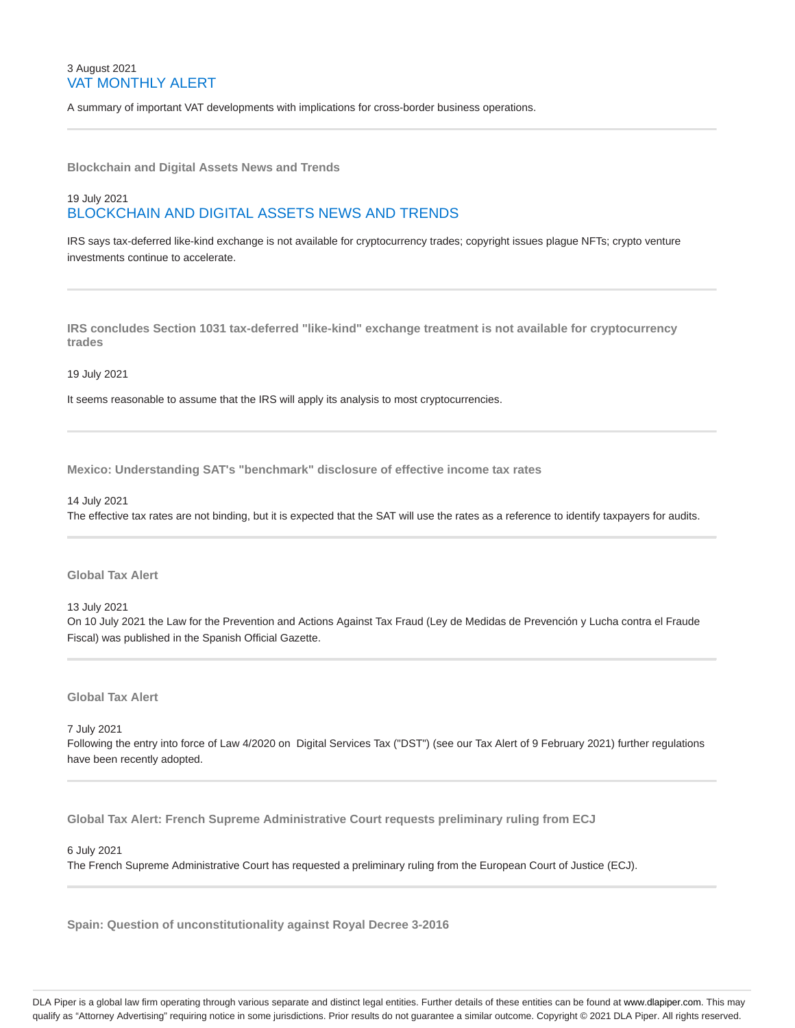# 3 August 2021 VAT MONTHLY ALERT

A summary of important VAT developments with implications for cross-border business operations.

**Blockchain and Digital Assets News and Trends**

# 19 July 2021 BLOCKCHAIN AND DIGITAL ASSETS NEWS AND TRENDS

IRS says tax-deferred like-kind exchange is not available for cryptocurrency trades; copyright issues plague NFTs; crypto venture investments continue to accelerate.

**IRS concludes Section 1031 tax-deferred "like-kind" exchange treatment is not available for cryptocurrency trades**

19 July 2021

It seems reasonable to assume that the IRS will apply its analysis to most cryptocurrencies.

**Mexico: Understanding SAT's "benchmark" disclosure of effective income tax rates**

14 July 2021

The effective tax rates are not binding, but it is expected that the SAT will use the rates as a reference to identify taxpayers for audits.

**Global Tax Alert**

13 July 2021

On 10 July 2021 the Law for the Prevention and Actions Against Tax Fraud (Ley de Medidas de Prevención y Lucha contra el Fraude Fiscal) was published in the Spanish Official Gazette.

**Global Tax Alert**

7 July 2021

Following the entry into force of Law 4/2020 on Digital Services Tax ("DST") (see our Tax Alert of 9 February 2021) further regulations have been recently adopted.

**Global Tax Alert: French Supreme Administrative Court requests preliminary ruling from ECJ**

6 July 2021

The French Supreme Administrative Court has requested a preliminary ruling from the European Court of Justice (ECJ).

**Spain: Question of unconstitutionality against Royal Decree 3-2016**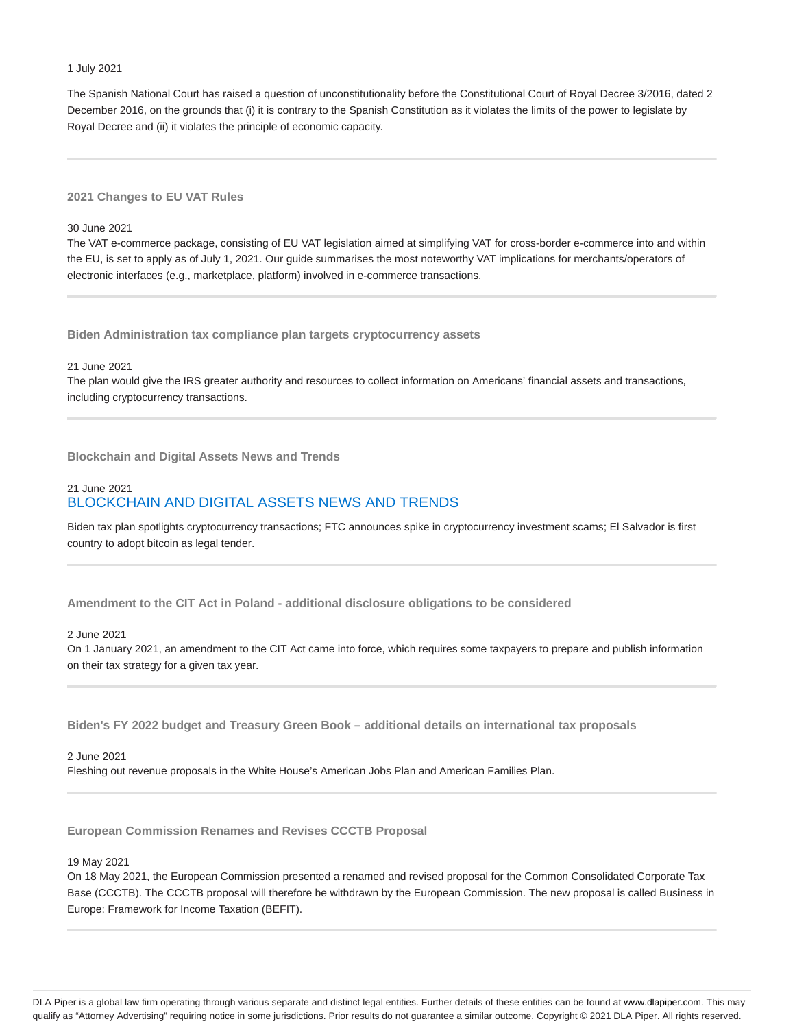### 1 July 2021

The Spanish National Court has raised a question of unconstitutionality before the Constitutional Court of Royal Decree 3/2016, dated 2 December 2016, on the grounds that (i) it is contrary to the Spanish Constitution as it violates the limits of the power to legislate by Royal Decree and (ii) it violates the principle of economic capacity.

# **2021 Changes to EU VAT Rules**

# 30 June 2021

The VAT e-commerce package, consisting of EU VAT legislation aimed at simplifying VAT for cross-border e-commerce into and within the EU, is set to apply as of July 1, 2021. Our guide summarises the most noteworthy VAT implications for merchants/operators of electronic interfaces (e.g., marketplace, platform) involved in e-commerce transactions.

**Biden Administration tax compliance plan targets cryptocurrency assets**

#### 21 June 2021

The plan would give the IRS greater authority and resources to collect information on Americans' financial assets and transactions, including cryptocurrency transactions.

**Blockchain and Digital Assets News and Trends**

# 21 June 2021 BLOCKCHAIN AND DIGITAL ASSETS NEWS AND TRENDS

Biden tax plan spotlights cryptocurrency transactions; FTC announces spike in cryptocurrency investment scams; El Salvador is first country to adopt bitcoin as legal tender.

**Amendment to the CIT Act in Poland - additional disclosure obligations to be considered**

# 2 June 2021

On 1 January 2021, an amendment to the CIT Act came into force, which requires some taxpayers to prepare and publish information on their tax strategy for a given tax year.

**Biden's FY 2022 budget and Treasury Green Book – additional details on international tax proposals**

#### 2 June 2021

Fleshing out revenue proposals in the White House's American Jobs Plan and American Families Plan.

**European Commission Renames and Revises CCCTB Proposal**

#### 19 May 2021

On 18 May 2021, the European Commission presented a renamed and revised proposal for the Common Consolidated Corporate Tax Base (CCCTB). The CCCTB proposal will therefore be withdrawn by the European Commission. The new proposal is called Business in Europe: Framework for Income Taxation (BEFIT).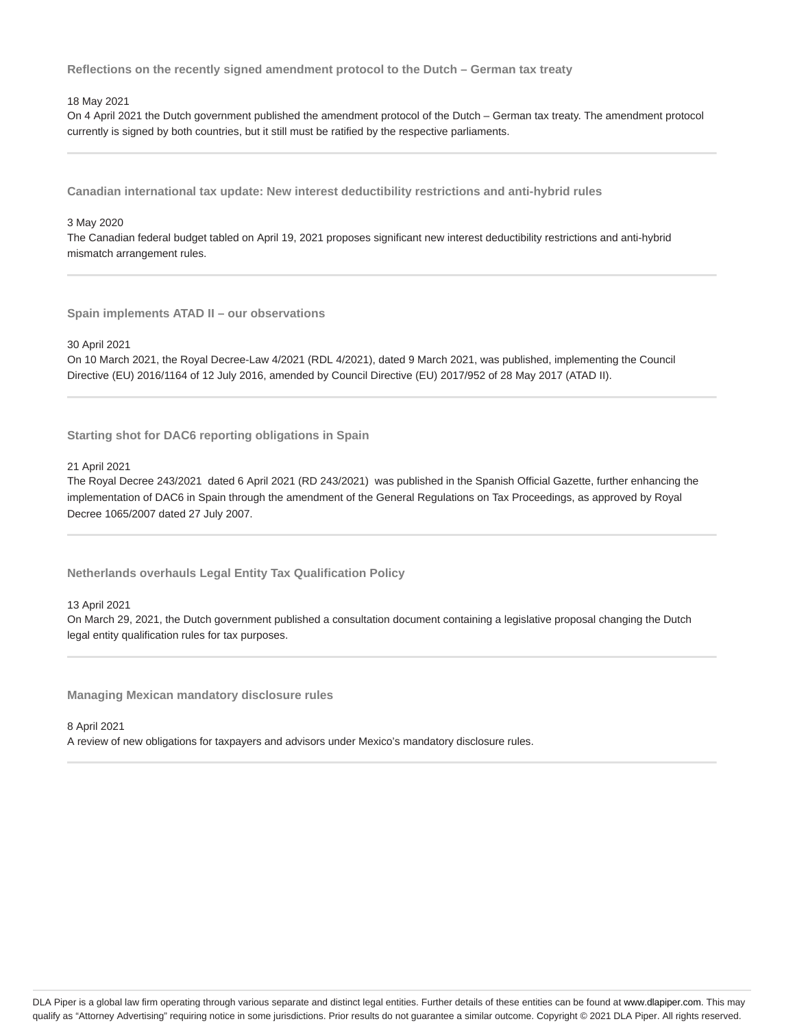**Reflections on the recently signed amendment protocol to the Dutch – German tax treaty**

### 18 May 2021

On 4 April 2021 the Dutch government published the amendment protocol of the Dutch – German tax treaty. The amendment protocol currently is signed by both countries, but it still must be ratified by the respective parliaments.

**Canadian international tax update: New interest deductibility restrictions and anti-hybrid rules**

#### 3 May 2020

The Canadian federal budget tabled on April 19, 2021 proposes significant new interest deductibility restrictions and anti-hybrid mismatch arrangement rules.

**Spain implements ATAD II – our observations**

30 April 2021

On 10 March 2021, the Royal Decree-Law 4/2021 (RDL 4/2021), dated 9 March 2021, was published, implementing the Council Directive (EU) 2016/1164 of 12 July 2016, amended by Council Directive (EU) 2017/952 of 28 May 2017 (ATAD II).

**Starting shot for DAC6 reporting obligations in Spain**

### 21 April 2021

The Royal Decree 243/2021 dated 6 April 2021 (RD 243/2021) was published in the Spanish Official Gazette, further enhancing the implementation of DAC6 in Spain through the amendment of the General Regulations on Tax Proceedings, as approved by Royal Decree 1065/2007 dated 27 July 2007.

**Netherlands overhauls Legal Entity Tax Qualification Policy**

13 April 2021

On March 29, 2021, the Dutch government published a consultation document containing a legislative proposal changing the Dutch legal entity qualification rules for tax purposes.

**Managing Mexican mandatory disclosure rules**

8 April 2021 A review of new obligations for taxpayers and advisors under Mexico's mandatory disclosure rules.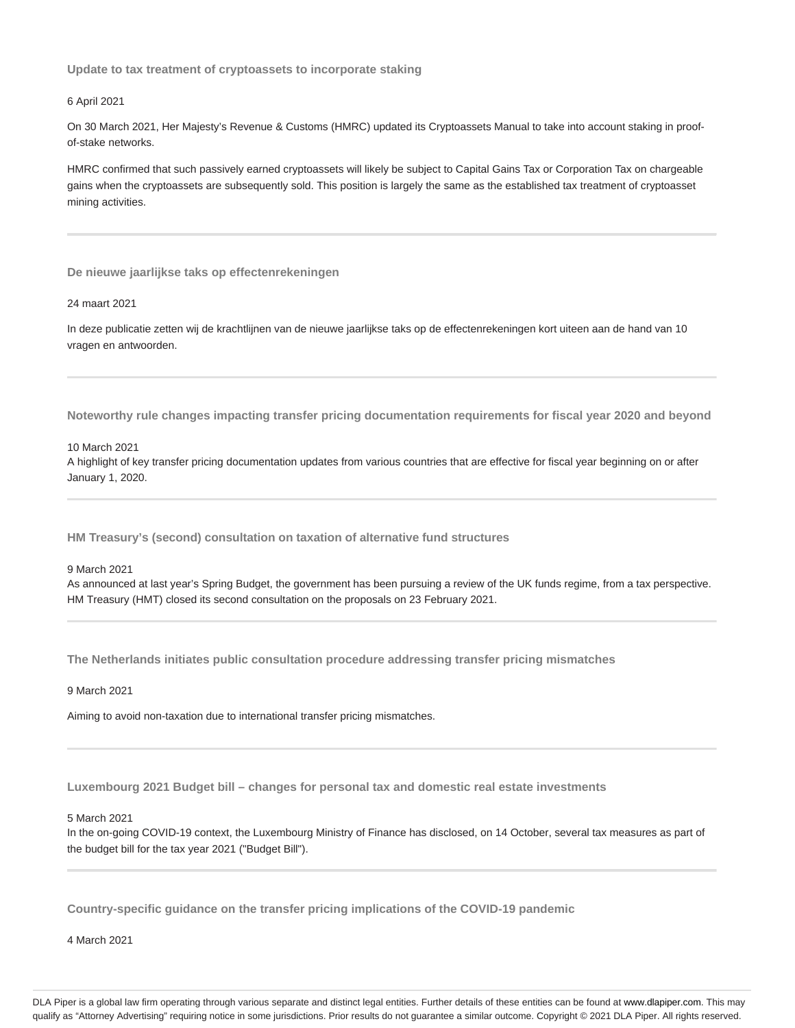**Update to tax treatment of cryptoassets to incorporate staking**

#### 6 April 2021

On 30 March 2021, Her Majesty's Revenue & Customs (HMRC) updated its Cryptoassets Manual to take into account staking in proofof-stake networks.

HMRC confirmed that such passively earned cryptoassets will likely be subject to Capital Gains Tax or Corporation Tax on chargeable gains when the cryptoassets are subsequently sold. This position is largely the same as the established tax treatment of cryptoasset mining activities.

**De nieuwe jaarlijkse taks op effectenrekeningen**

#### 24 maart 2021

In deze publicatie zetten wij de krachtlijnen van de nieuwe jaarlijkse taks op de effectenrekeningen kort uiteen aan de hand van 10 vragen en antwoorden.

**Noteworthy rule changes impacting transfer pricing documentation requirements for fiscal year 2020 and beyond**

10 March 2021

A highlight of key transfer pricing documentation updates from various countries that are effective for fiscal year beginning on or after January 1, 2020.

**HM Treasury's (second) consultation on taxation of alternative fund structures**

#### 9 March 2021

As announced at last year's Spring Budget, the government has been pursuing a review of the UK funds regime, from a tax perspective. HM Treasury (HMT) closed its second consultation on the proposals on 23 February 2021.

**The Netherlands initiates public consultation procedure addressing transfer pricing mismatches**

9 March 2021

Aiming to avoid non-taxation due to international transfer pricing mismatches.

**Luxembourg 2021 Budget bill – changes for personal tax and domestic real estate investments**

#### 5 March 2021

In the on-going COVID-19 context, the Luxembourg Ministry of Finance has disclosed, on 14 October, several tax measures as part of the budget bill for the tax year 2021 ("Budget Bill").

**Country-specific guidance on the transfer pricing implications of the COVID-19 pandemic**

4 March 2021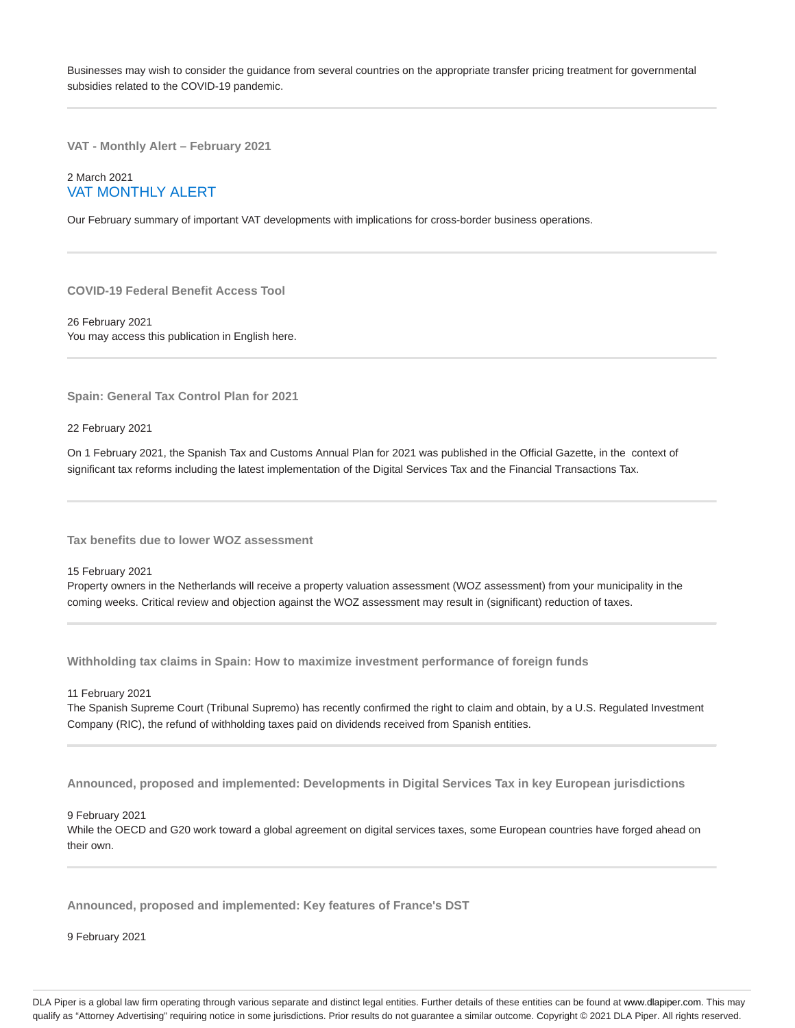Businesses may wish to consider the guidance from several countries on the appropriate transfer pricing treatment for governmental subsidies related to the COVID-19 pandemic.

**VAT - Monthly Alert – February 2021**

# 2 March 2021 VAT MONTHLY ALERT

Our February summary of important VAT developments with implications for cross-border business operations.

**COVID-19 Federal Benefit Access Tool**

26 February 2021 You may access this publication in English here.

**Spain: General Tax Control Plan for 2021**

22 February 2021

On 1 February 2021, the Spanish Tax and Customs Annual Plan for 2021 was published in the Official Gazette, in the context of significant tax reforms including the latest implementation of the Digital Services Tax and the Financial Transactions Tax.

**Tax benefits due to lower WOZ assessment**

15 February 2021

Property owners in the Netherlands will receive a property valuation assessment (WOZ assessment) from your municipality in the coming weeks. Critical review and objection against the WOZ assessment may result in (significant) reduction of taxes.

**Withholding tax claims in Spain: How to maximize investment performance of foreign funds**

11 February 2021

The Spanish Supreme Court (Tribunal Supremo) has recently confirmed the right to claim and obtain, by a U.S. Regulated Investment Company (RIC), the refund of withholding taxes paid on dividends received from Spanish entities.

**Announced, proposed and implemented: Developments in Digital Services Tax in key European jurisdictions**

9 February 2021

While the OECD and G20 work toward a global agreement on digital services taxes, some European countries have forged ahead on their own.

**Announced, proposed and implemented: Key features of France's DST**

9 February 2021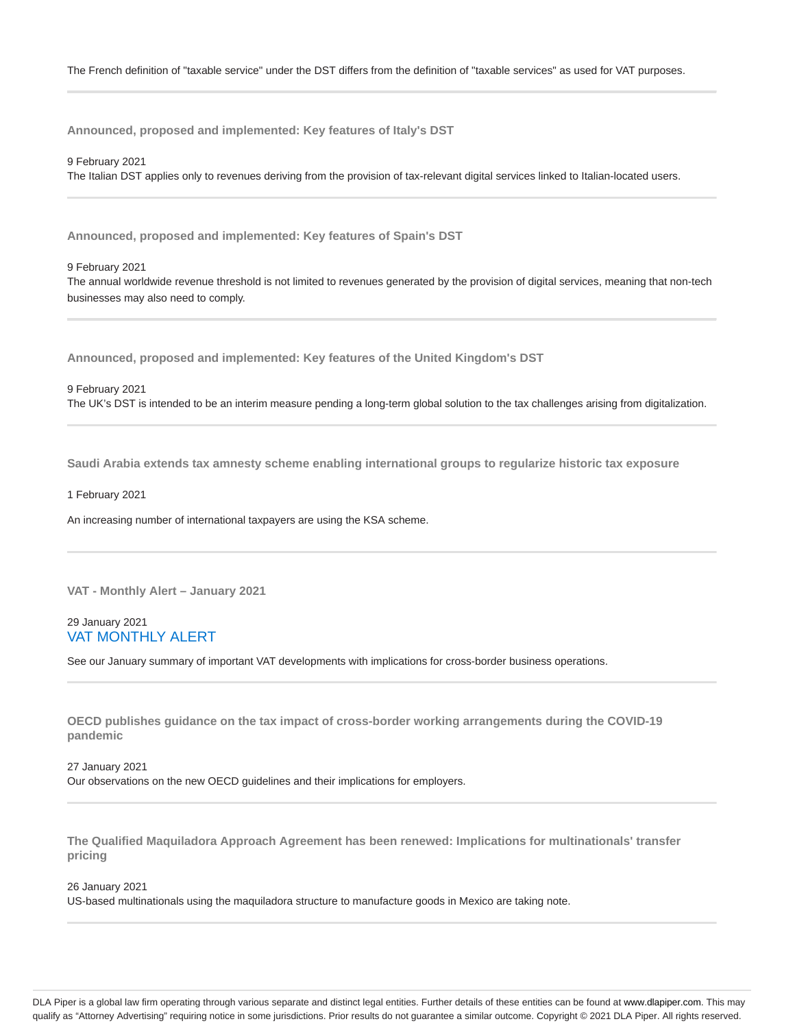**Announced, proposed and implemented: Key features of Italy's DST**

9 February 2021 The Italian DST applies only to revenues deriving from the provision of tax-relevant digital services linked to Italian-located users.

**Announced, proposed and implemented: Key features of Spain's DST**

9 February 2021

The annual worldwide revenue threshold is not limited to revenues generated by the provision of digital services, meaning that non-tech businesses may also need to comply.

**Announced, proposed and implemented: Key features of the United Kingdom's DST**

9 February 2021

The UK's DST is intended to be an interim measure pending a long-term global solution to the tax challenges arising from digitalization.

**Saudi Arabia extends tax amnesty scheme enabling international groups to regularize historic tax exposure**

1 February 2021

An increasing number of international taxpayers are using the KSA scheme.

**VAT - Monthly Alert – January 2021**

# 29 January 2021 VAT MONTHLY ALERT

See our January summary of important VAT developments with implications for cross-border business operations.

**OECD publishes guidance on the tax impact of cross-border working arrangements during the COVID-19 pandemic**

27 January 2021 Our observations on the new OECD guidelines and their implications for employers.

**The Qualified Maquiladora Approach Agreement has been renewed: Implications for multinationals' transfer pricing**

26 January 2021 US-based multinationals using the maquiladora structure to manufacture goods in Mexico are taking note.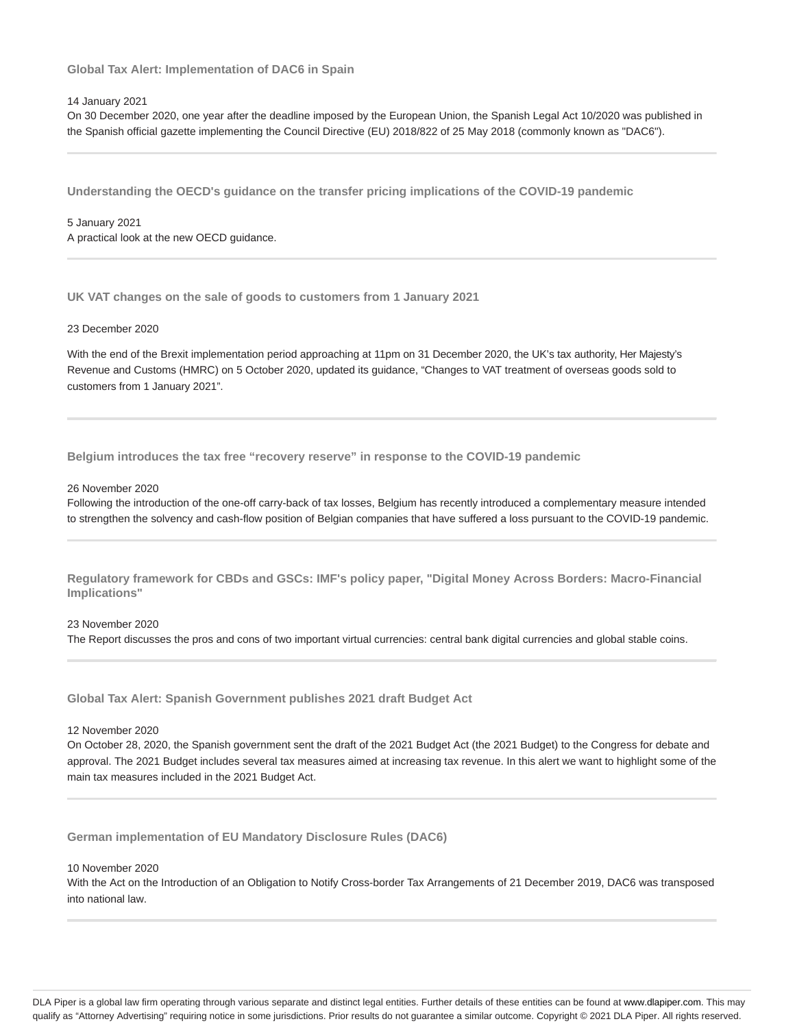**Global Tax Alert: Implementation of DAC6 in Spain**

#### 14 January 2021

On 30 December 2020, one year after the deadline imposed by the European Union, the Spanish Legal Act 10/2020 was published in the Spanish official gazette implementing the Council Directive (EU) 2018/822 of 25 May 2018 (commonly known as "DAC6").

**Understanding the OECD's guidance on the transfer pricing implications of the COVID-19 pandemic**

### 5 January 2021 A practical look at the new OECD guidance.

**UK VAT changes on the sale of goods to customers from 1 January 2021**

### 23 December 2020

With the end of the Brexit implementation period approaching at 11pm on 31 December 2020, the UK's tax authority, Her Majesty's Revenue and Customs (HMRC) on 5 October 2020, updated its guidance, "Changes to VAT treatment of overseas goods sold to customers from 1 January 2021".

**Belgium introduces the tax free "recovery reserve" in response to the COVID-19 pandemic**

#### 26 November 2020

Following the introduction of the one-off carry-back of tax losses, Belgium has recently introduced a complementary measure intended to strengthen the solvency and cash-flow position of Belgian companies that have suffered a loss pursuant to the COVID-19 pandemic.

**Regulatory framework for CBDs and GSCs: IMF's policy paper, "Digital Money Across Borders: Macro-Financial Implications"**

### 23 November 2020 The Report discusses the pros and cons of two important virtual currencies: central bank digital currencies and global stable coins.

**Global Tax Alert: Spanish Government publishes 2021 draft Budget Act**

12 November 2020

On October 28, 2020, the Spanish government sent the draft of the 2021 Budget Act (the 2021 Budget) to the Congress for debate and approval. The 2021 Budget includes several tax measures aimed at increasing tax revenue. In this alert we want to highlight some of the main tax measures included in the 2021 Budget Act.

**German implementation of EU Mandatory Disclosure Rules (DAC6)**

#### 10 November 2020

With the Act on the Introduction of an Obligation to Notify Cross-border Tax Arrangements of 21 December 2019, DAC6 was transposed into national law.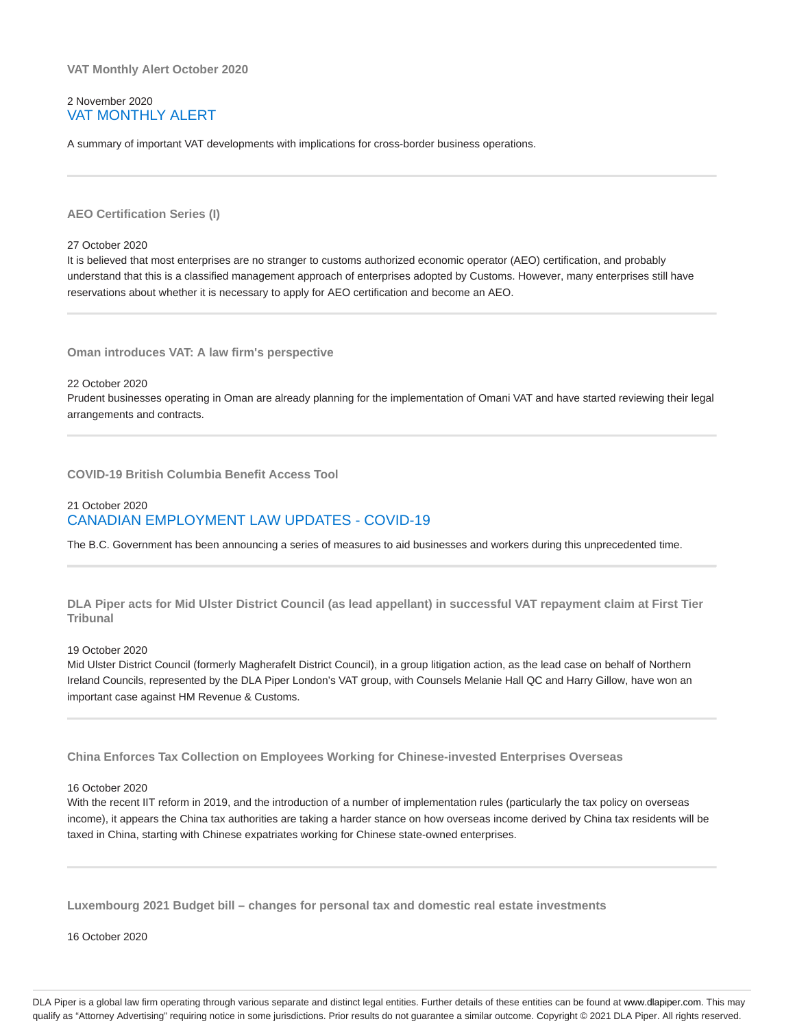**VAT Monthly Alert October 2020**

# 2 November 2020 VAT MONTHLY ALERT

A summary of important VAT developments with implications for cross-border business operations.

**AEO Certification Series (I)**

#### 27 October 2020

It is believed that most enterprises are no stranger to customs authorized economic operator (AEO) certification, and probably understand that this is a classified management approach of enterprises adopted by Customs. However, many enterprises still have reservations about whether it is necessary to apply for AEO certification and become an AEO.

**Oman introduces VAT: A law firm's perspective**

22 October 2020

Prudent businesses operating in Oman are already planning for the implementation of Omani VAT and have started reviewing their legal arrangements and contracts.

**COVID-19 British Columbia Benefit Access Tool**

# 21 October 2020 CANADIAN EMPLOYMENT LAW UPDATES - COVID-19

The B.C. Government has been announcing a series of measures to aid businesses and workers during this unprecedented time.

**DLA Piper acts for Mid Ulster District Council (as lead appellant) in successful VAT repayment claim at First Tier Tribunal**

### 19 October 2020

Mid Ulster District Council (formerly Magherafelt District Council), in a group litigation action, as the lead case on behalf of Northern Ireland Councils, represented by the DLA Piper London's VAT group, with Counsels Melanie Hall QC and Harry Gillow, have won an important case against HM Revenue & Customs.

**China Enforces Tax Collection on Employees Working for Chinese-invested Enterprises Overseas**

#### 16 October 2020

With the recent IIT reform in 2019, and the introduction of a number of implementation rules (particularly the tax policy on overseas income), it appears the China tax authorities are taking a harder stance on how overseas income derived by China tax residents will be taxed in China, starting with Chinese expatriates working for Chinese state-owned enterprises.

**Luxembourg 2021 Budget bill – changes for personal tax and domestic real estate investments**

16 October 2020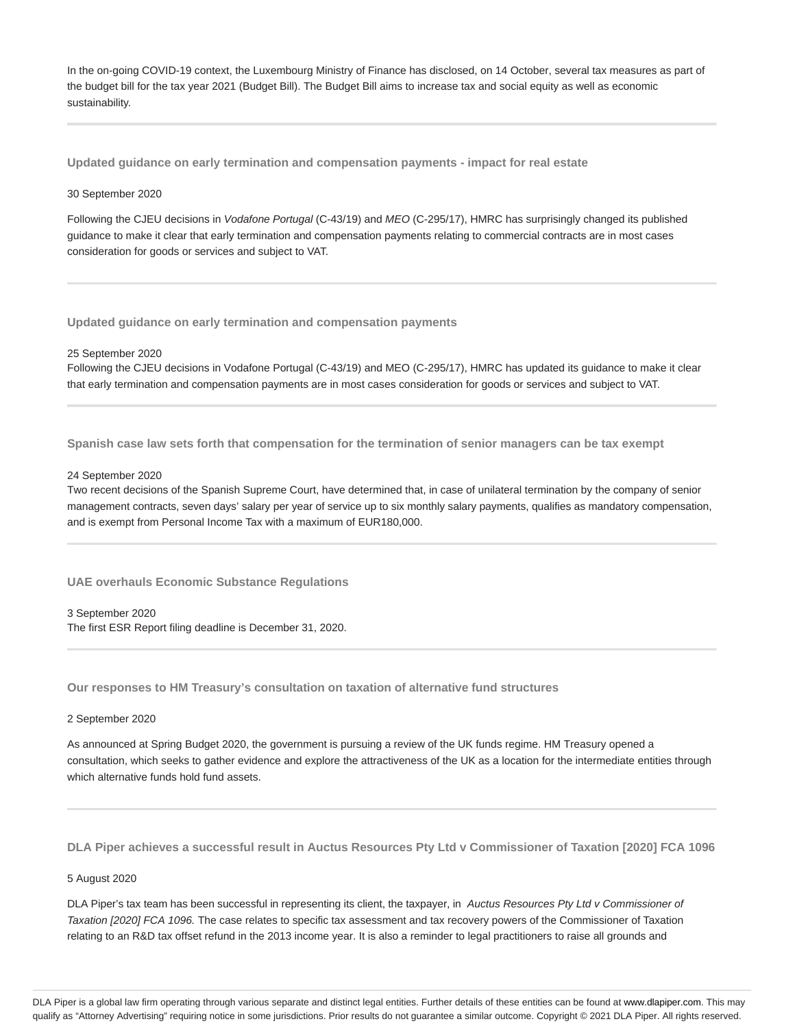In the on-going COVID-19 context, the Luxembourg Ministry of Finance has disclosed, on 14 October, several tax measures as part of the budget bill for the tax year 2021 (Budget Bill). The Budget Bill aims to increase tax and social equity as well as economic sustainability.

**Updated guidance on early termination and compensation payments - impact for real estate**

#### 30 September 2020

Following the CJEU decisions in Vodafone Portugal (C-43/19) and MEO (C-295/17), HMRC has surprisingly changed its published guidance to make it clear that early termination and compensation payments relating to commercial contracts are in most cases consideration for goods or services and subject to VAT.

**Updated guidance on early termination and compensation payments**

#### 25 September 2020

Following the CJEU decisions in Vodafone Portugal (C-43/19) and MEO (C-295/17), HMRC has updated its guidance to make it clear that early termination and compensation payments are in most cases consideration for goods or services and subject to VAT.

**Spanish case law sets forth that compensation for the termination of senior managers can be tax exempt**

#### 24 September 2020

Two recent decisions of the Spanish Supreme Court, have determined that, in case of unilateral termination by the company of senior management contracts, seven days' salary per year of service up to six monthly salary payments, qualifies as mandatory compensation, and is exempt from Personal Income Tax with a maximum of EUR180,000.

**UAE overhauls Economic Substance Regulations**

3 September 2020 The first ESR Report filing deadline is December 31, 2020.

**Our responses to HM Treasury's consultation on taxation of alternative fund structures**

### 2 September 2020

As announced at Spring Budget 2020, the government is pursuing a review of the UK funds regime. HM Treasury opened a consultation, which seeks to gather evidence and explore the attractiveness of the UK as a location for the intermediate entities through which alternative funds hold fund assets.

**DLA Piper achieves a successful result in Auctus Resources Pty Ltd v Commissioner of Taxation [2020] FCA 1096**

#### 5 August 2020

DLA Piper's tax team has been successful in representing its client, the taxpayer, in Auctus Resources Pty Ltd v Commissioner of Taxation [2020] FCA 1096. The case relates to specific tax assessment and tax recovery powers of the Commissioner of Taxation relating to an R&D tax offset refund in the 2013 income year. It is also a reminder to legal practitioners to raise all grounds and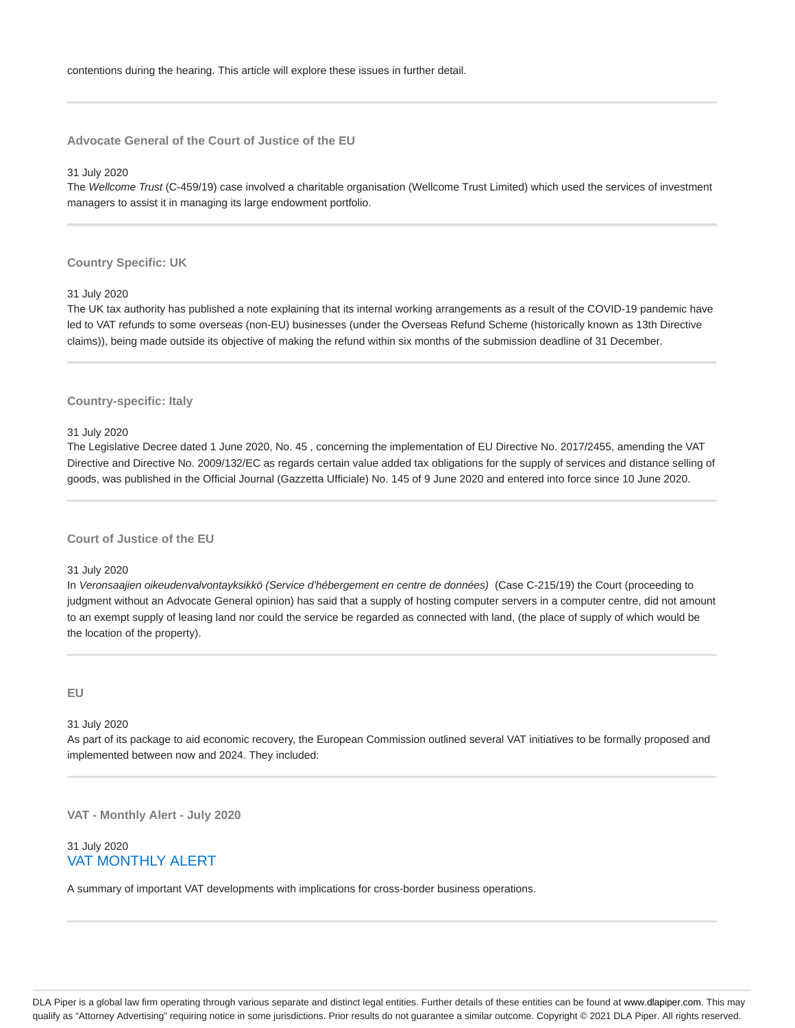**Advocate General of the Court of Justice of the EU**

#### 31 July 2020

The Wellcome Trust (C-459/19) case involved a charitable organisation (Wellcome Trust Limited) which used the services of investment managers to assist it in managing its large endowment portfolio.

#### **Country Specific: UK**

#### 31 July 2020

The UK tax authority has published a note explaining that its internal working arrangements as a result of the COVID-19 pandemic have led to VAT refunds to some overseas (non-EU) businesses (under the Overseas Refund Scheme (historically known as 13th Directive claims)), being made outside its objective of making the refund within six months of the submission deadline of 31 December.

### **Country-specific: Italy**

#### 31 July 2020

The Legislative Decree dated 1 June 2020, No. 45 , concerning the implementation of EU Directive No. 2017/2455, amending the VAT Directive and Directive No. 2009/132/EC as regards certain value added tax obligations for the supply of services and distance selling of goods, was published in the Official Journal (Gazzetta Ufficiale) No. 145 of 9 June 2020 and entered into force since 10 June 2020.

# **Court of Justice of the EU**

### 31 July 2020

In Veronsaajien oikeudenvalvontayksikkö (Service d'hébergement en centre de données) (Case C-215/19) the Court (proceeding to judgment without an Advocate General opinion) has said that a supply of hosting computer servers in a computer centre, did not amount to an exempt supply of leasing land nor could the service be regarded as connected with land, (the place of supply of which would be the location of the property).

# **EU**

#### 31 July 2020

As part of its package to aid economic recovery, the European Commission outlined several VAT initiatives to be formally proposed and implemented between now and 2024. They included:

**VAT - Monthly Alert - July 2020**

# 31 July 2020 VAT MONTHLY ALERT

A summary of important VAT developments with implications for cross-border business operations.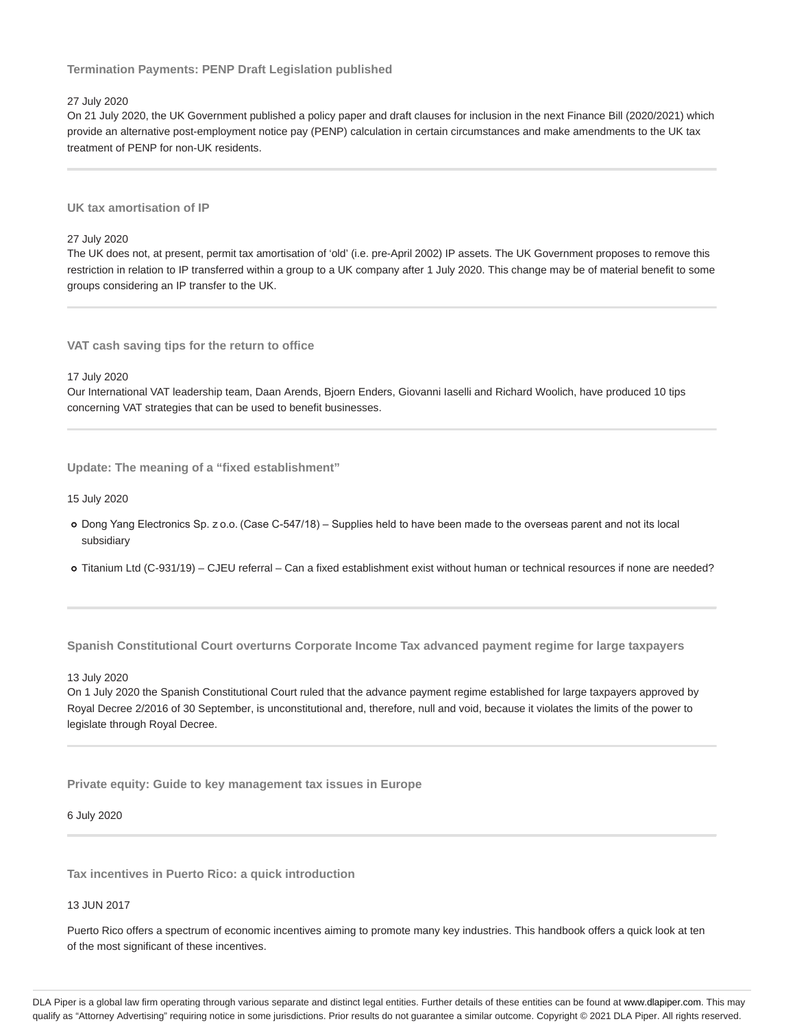# **Termination Payments: PENP Draft Legislation published**

### 27 July 2020

On 21 July 2020, the UK Government published a policy paper and draft clauses for inclusion in the next Finance Bill (2020/2021) which provide an alternative post-employment notice pay (PENP) calculation in certain circumstances and make amendments to the UK tax treatment of PENP for non-UK residents.

**UK tax amortisation of IP**

27 July 2020

The UK does not, at present, permit tax amortisation of 'old' (i.e. pre-April 2002) IP assets. The UK Government proposes to remove this restriction in relation to IP transferred within a group to a UK company after 1 July 2020. This change may be of material benefit to some groups considering an IP transfer to the UK.

**VAT cash saving tips for the return to office**

17 July 2020

Our International VAT leadership team, Daan Arends, Bjoern Enders, Giovanni Iaselli and Richard Woolich, have produced 10 tips concerning VAT strategies that can be used to benefit businesses.

**Update: The meaning of a "fixed establishment"**

15 July 2020

- Dong Yang Electronics Sp. z o.o. (Case C-547/18) Supplies held to have been made to the overseas parent and not its local subsidiary
- Titanium Ltd (C-931/19) CJEU referral Can a fixed establishment exist without human or technical resources if none are needed?

**Spanish Constitutional Court overturns Corporate Income Tax advanced payment regime for large taxpayers**

#### 13 July 2020

On 1 July 2020 the Spanish Constitutional Court ruled that the advance payment regime established for large taxpayers approved by Royal Decree 2/2016 of 30 September, is unconstitutional and, therefore, null and void, because it violates the limits of the power to legislate through Royal Decree.

**Private equity: Guide to key management tax issues in Europe**

6 July 2020

**Tax incentives in Puerto Rico: a quick introduction**

13 JUN 2017

Puerto Rico offers a spectrum of economic incentives aiming to promote many key industries. This handbook offers a quick look at ten of the most significant of these incentives.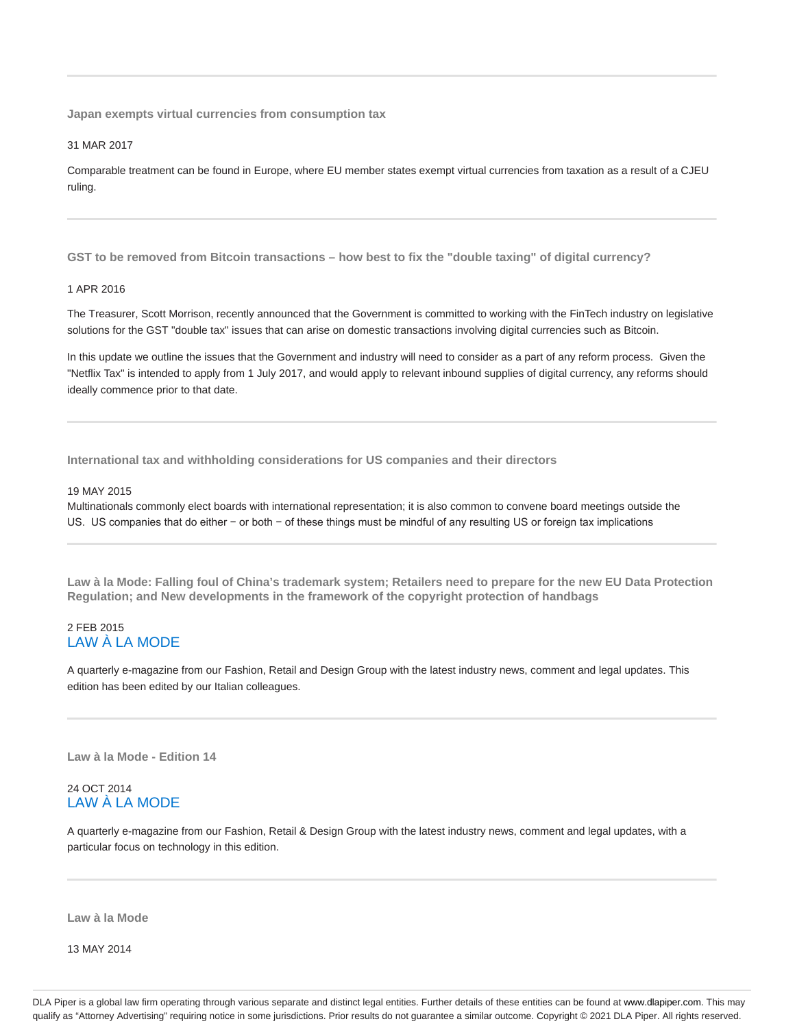**Japan exempts virtual currencies from consumption tax**

31 MAR 2017

Comparable treatment can be found in Europe, where EU member states exempt virtual currencies from taxation as a result of a CJEU ruling.

**GST to be removed from Bitcoin transactions – how best to fix the "double taxing" of digital currency?**

#### 1 APR 2016

The Treasurer, Scott Morrison, recently announced that the Government is committed to working with the FinTech industry on legislative solutions for the GST "double tax" issues that can arise on domestic transactions involving digital currencies such as Bitcoin.

In this update we outline the issues that the Government and industry will need to consider as a part of any reform process. Given the "Netflix Tax" is intended to apply from 1 July 2017, and would apply to relevant inbound supplies of digital currency, any reforms should ideally commence prior to that date.

**International tax and withholding considerations for US companies and their directors**

#### 19 MAY 2015

Multinationals commonly elect boards with international representation; it is also common to convene board meetings outside the US. US companies that do either − or both − of these things must be mindful of any resulting US or foreign tax implications

**Law à la Mode: Falling foul of China's trademark system; Retailers need to prepare for the new EU Data Protection Regulation; and New developments in the framework of the copyright protection of handbags**

# 2 FEB 2015 LAW À LA MODE

A quarterly e-magazine from our Fashion, Retail and Design Group with the latest industry news, comment and legal updates. This edition has been edited by our Italian colleagues.

**Law à la Mode - Edition 14**

# 24 OCT 2014 LAW À LA MODE

A quarterly e-magazine from our Fashion, Retail & Design Group with the latest industry news, comment and legal updates, with a particular focus on technology in this edition.

**Law à la Mode**

13 MAY 2014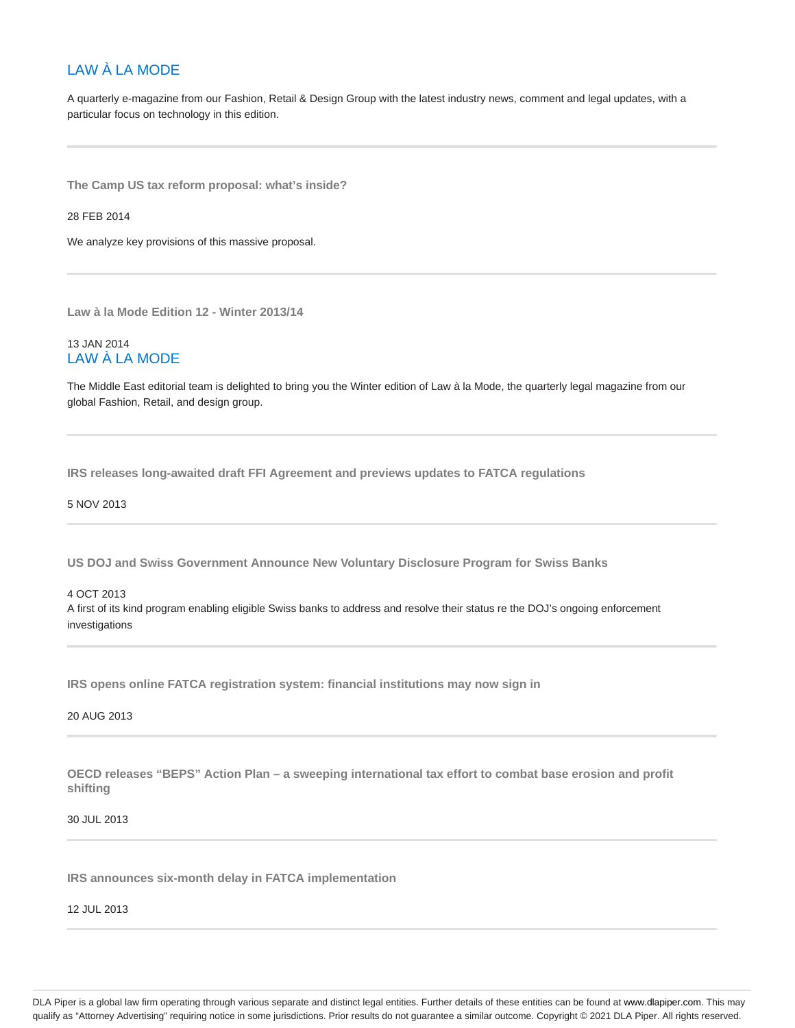# LAW À LA MODE

A quarterly e-magazine from our Fashion, Retail & Design Group with the latest industry news, comment and legal updates, with a particular focus on technology in this edition.

**The Camp US tax reform proposal: what's inside?**

28 FEB 2014

We analyze key provisions of this massive proposal.

**Law à la Mode Edition 12 - Winter 2013/14**

# 13 JAN 2014 LAW À LA MODE

The Middle East editorial team is delighted to bring you the Winter edition of Law à la Mode, the quarterly legal magazine from our global Fashion, Retail, and design group.

**IRS releases long-awaited draft FFI Agreement and previews updates to FATCA regulations**

5 NOV 2013

**US DOJ and Swiss Government Announce New Voluntary Disclosure Program for Swiss Banks**

# 4 OCT 2013 A first of its kind program enabling eligible Swiss banks to address and resolve their status re the DOJ's ongoing enforcement investigations

**IRS opens online FATCA registration system: financial institutions may now sign in**

20 AUG 2013

**OECD releases "BEPS" Action Plan – a sweeping international tax effort to combat base erosion and profit shifting**

30 JUL 2013

**IRS announces six-month delay in FATCA implementation**

12 JUL 2013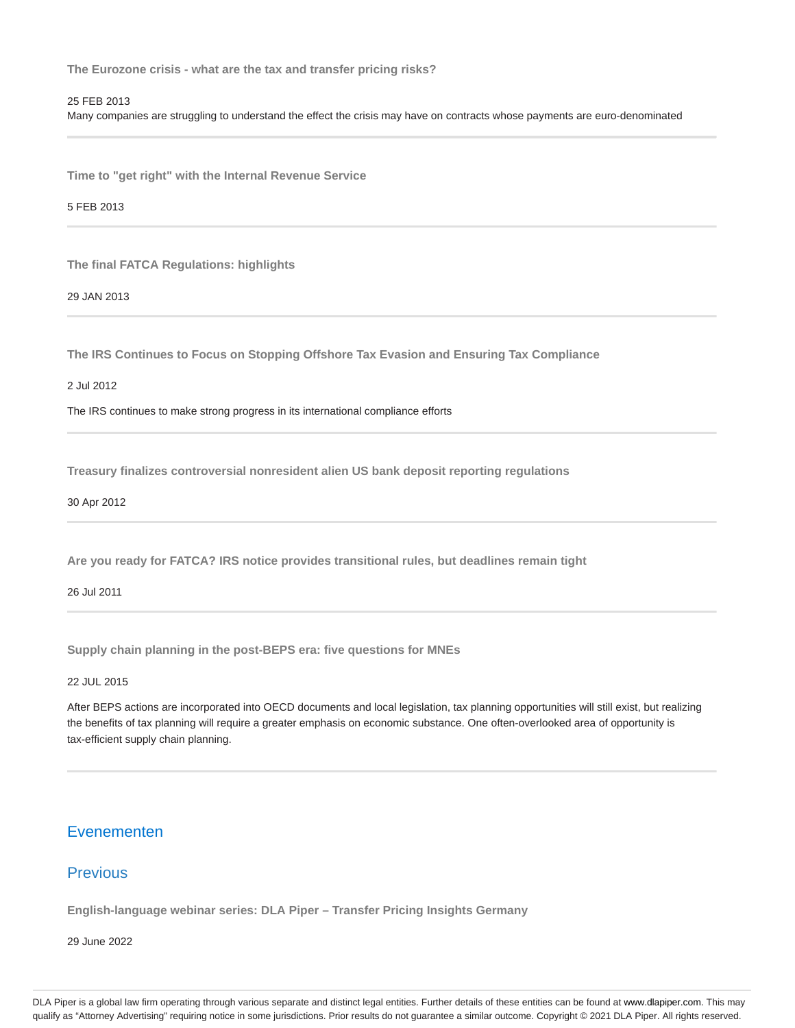**The Eurozone crisis - what are the tax and transfer pricing risks?**

# 25 FEB 2013

Many companies are struggling to understand the effect the crisis may have on contracts whose payments are euro-denominated

**Time to "get right" with the Internal Revenue Service**

5 FEB 2013

**The final FATCA Regulations: highlights**

29 JAN 2013

**The IRS Continues to Focus on Stopping Offshore Tax Evasion and Ensuring Tax Compliance**

2 Jul 2012

The IRS continues to make strong progress in its international compliance efforts

**Treasury finalizes controversial nonresident alien US bank deposit reporting regulations**

30 Apr 2012

**Are you ready for FATCA? IRS notice provides transitional rules, but deadlines remain tight**

26 Jul 2011

**Supply chain planning in the post-BEPS era: five questions for MNEs**

22 JUL 2015

After BEPS actions are incorporated into OECD documents and local legislation, tax planning opportunities will still exist, but realizing the benefits of tax planning will require a greater emphasis on economic substance. One often-overlooked area of opportunity is tax-efficient supply chain planning.

# Evenementen

# **Previous**

**English-language webinar series: DLA Piper – Transfer Pricing Insights Germany**

29 June 2022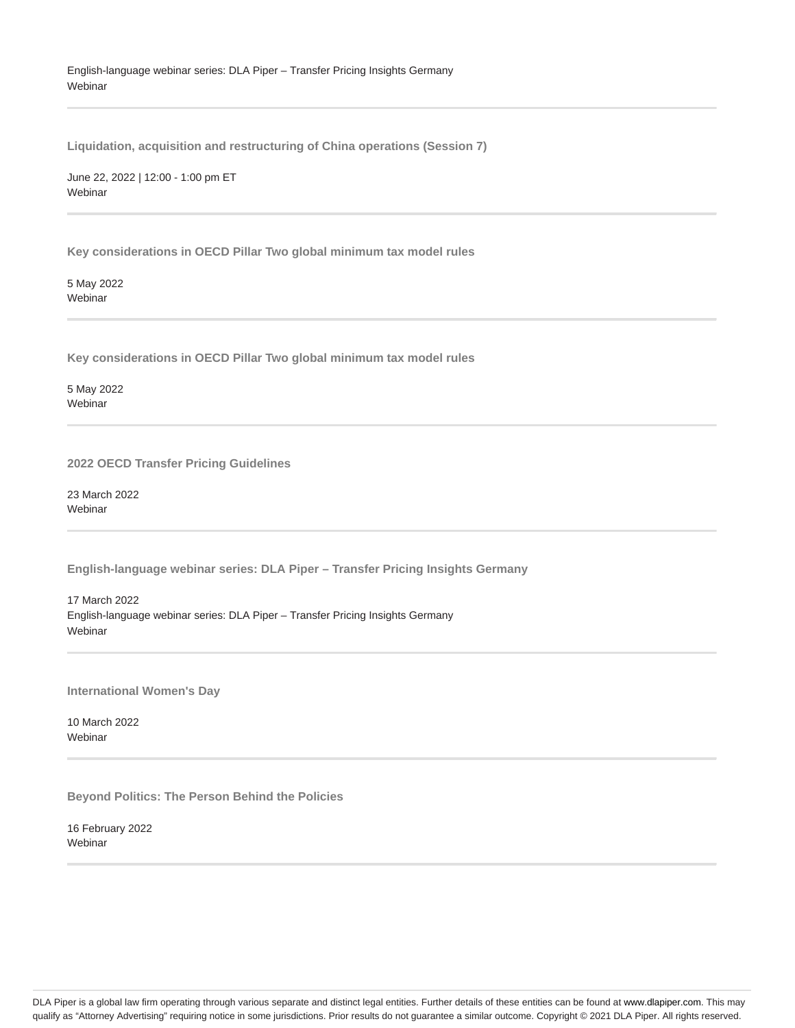# English-language webinar series: DLA Piper – Transfer Pricing Insights Germany **Webinar**

**Liquidation, acquisition and restructuring of China operations (Session 7)**

June 22, 2022 | 12:00 - 1:00 pm ET Webinar

**Key considerations in OECD Pillar Two global minimum tax model rules**

5 May 2022 Webinar

**Key considerations in OECD Pillar Two global minimum tax model rules**

5 May 2022 Webinar

**2022 OECD Transfer Pricing Guidelines**

23 March 2022 Webinar

**English-language webinar series: DLA Piper – Transfer Pricing Insights Germany**

17 March 2022 English-language webinar series: DLA Piper – Transfer Pricing Insights Germany Webinar

**International Women's Day**

10 March 2022 Webinar

**Beyond Politics: The Person Behind the Policies**

16 February 2022 Webinar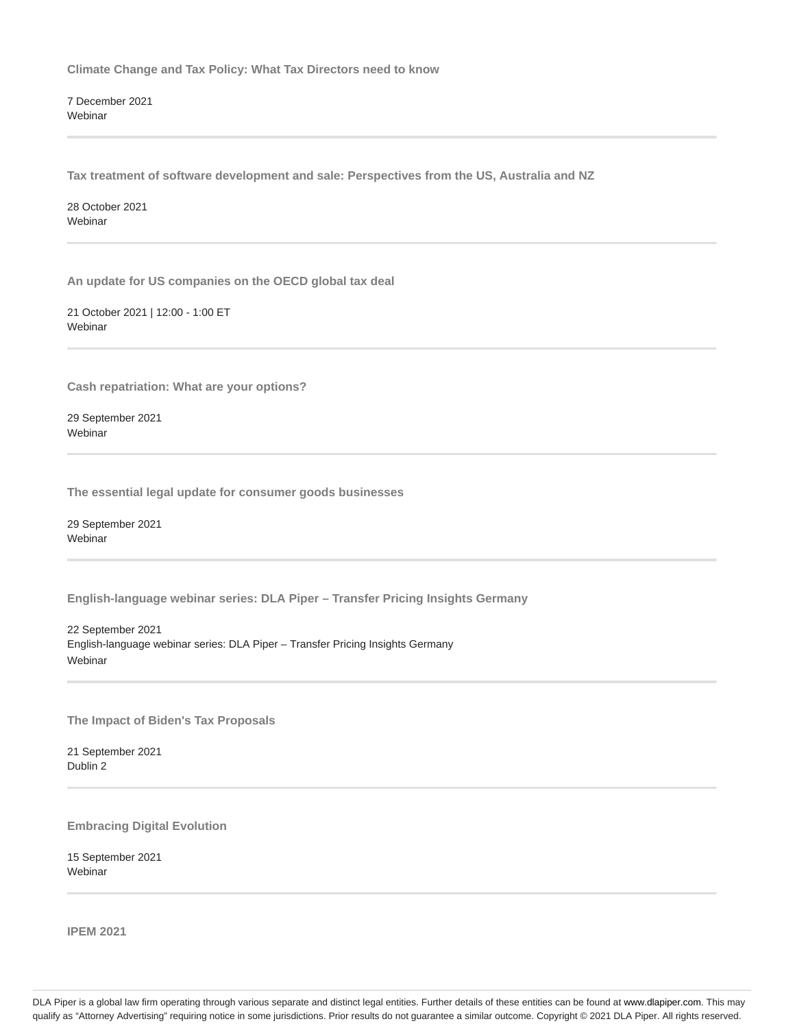**Climate Change and Tax Policy: What Tax Directors need to know**

7 December 2021 **Webinar** 

**Tax treatment of software development and sale: Perspectives from the US, Australia and NZ**

28 October 2021 Webinar

**An update for US companies on the OECD global tax deal**

21 October 2021 | 12:00 - 1:00 ET Webinar

**Cash repatriation: What are your options?**

29 September 2021 **Webinar** 

**The essential legal update for consumer goods businesses**

29 September 2021 **Webinar** 

**English-language webinar series: DLA Piper – Transfer Pricing Insights Germany**

22 September 2021 English-language webinar series: DLA Piper – Transfer Pricing Insights Germany Webinar

**The Impact of Biden's Tax Proposals**

21 September 2021 Dublin 2

**Embracing Digital Evolution**

15 September 2021 Webinar

**IPEM 2021**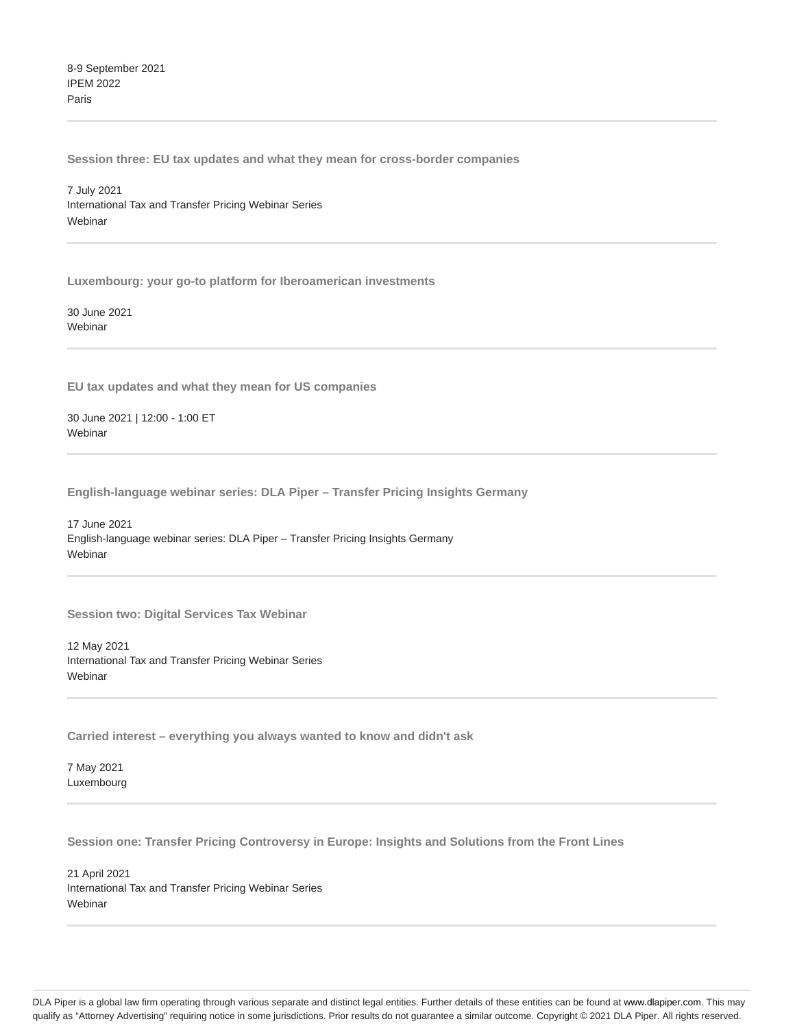8-9 September 2021 IPEM 2022 Paris

**Session three: EU tax updates and what they mean for cross-border companies**

7 July 2021 International Tax and Transfer Pricing Webinar Series Webinar

**Luxembourg: your go-to platform for Iberoamerican investments**

30 June 2021 Webinar

**EU tax updates and what they mean for US companies**

30 June 2021 | 12:00 - 1:00 ET **Webinar** 

**English-language webinar series: DLA Piper – Transfer Pricing Insights Germany**

17 June 2021 English-language webinar series: DLA Piper – Transfer Pricing Insights Germany Webinar

**Session two: Digital Services Tax Webinar**

12 May 2021 International Tax and Transfer Pricing Webinar Series **Webinar** 

**Carried interest – everything you always wanted to know and didn't ask**

7 May 2021 Luxembourg

**Session one: Transfer Pricing Controversy in Europe: Insights and Solutions from the Front Lines**

21 April 2021 International Tax and Transfer Pricing Webinar Series **Webinar**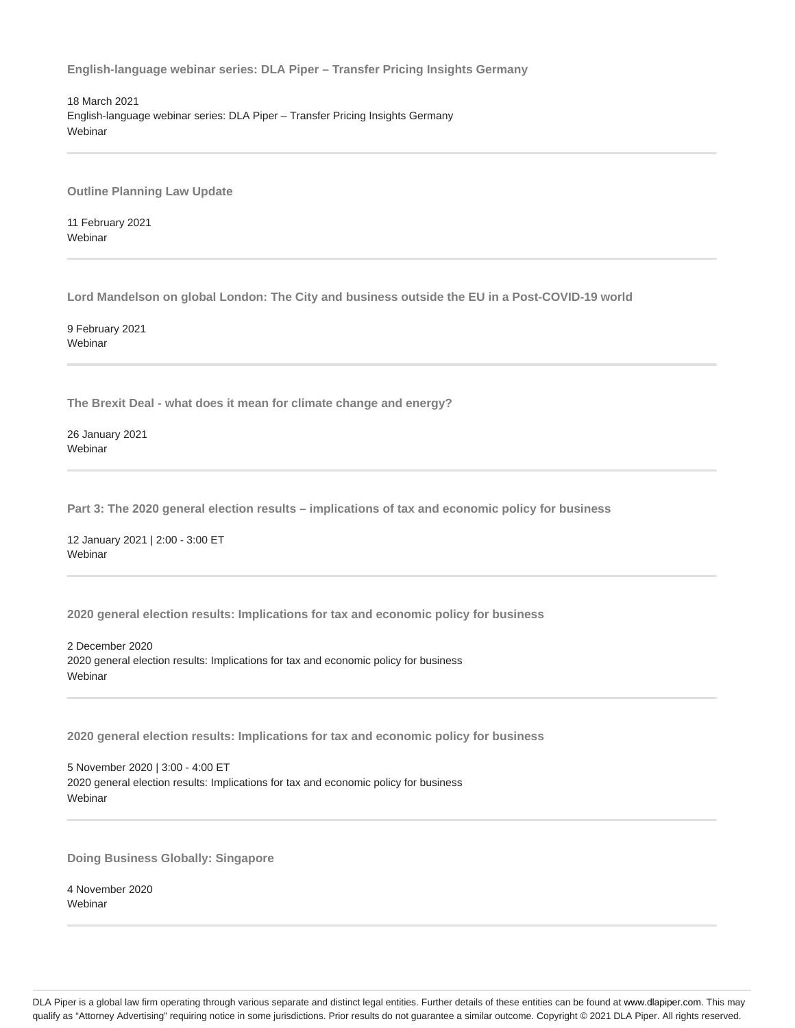**English-language webinar series: DLA Piper – Transfer Pricing Insights Germany**

18 March 2021 English-language webinar series: DLA Piper – Transfer Pricing Insights Germany Webinar

**Outline Planning Law Update**

11 February 2021 **Webinar** 

**Lord Mandelson on global London: The City and business outside the EU in a Post-COVID-19 world**

9 February 2021 Webinar

**The Brexit Deal - what does it mean for climate change and energy?**

26 January 2021 Webinar

**Part 3: The 2020 general election results – implications of tax and economic policy for business**

12 January 2021 | 2:00 - 3:00 ET Webinar

**2020 general election results: Implications for tax and economic policy for business**

2 December 2020 2020 general election results: Implications for tax and economic policy for business Webinar

**2020 general election results: Implications for tax and economic policy for business**

5 November 2020 | 3:00 - 4:00 ET 2020 general election results: Implications for tax and economic policy for business Webinar

**Doing Business Globally: Singapore**

4 November 2020 **Webinar**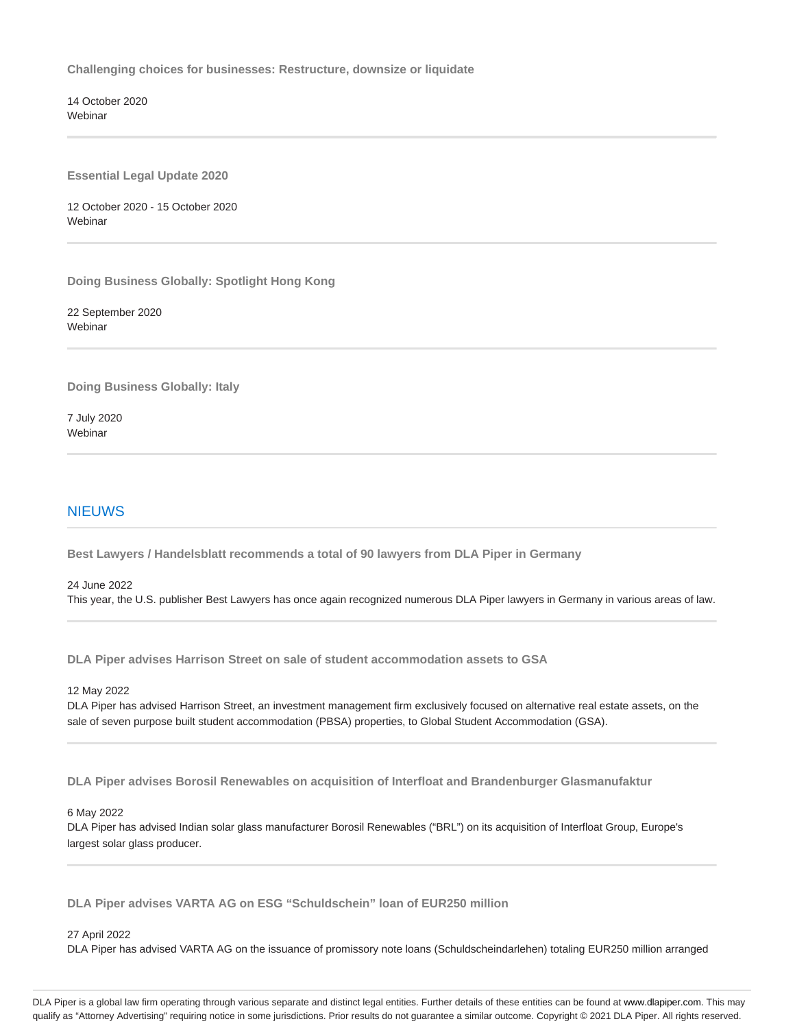**Challenging choices for businesses: Restructure, downsize or liquidate**

14 October 2020 Webinar

**Essential Legal Update 2020**

12 October 2020 - 15 October 2020 Webinar

**Doing Business Globally: Spotlight Hong Kong**

22 September 2020 **Webinar** 

**Doing Business Globally: Italy**

7 July 2020 Webinar

# NIEUWS

**Best Lawyers / Handelsblatt recommends a total of 90 lawyers from DLA Piper in Germany**

# 24 June 2022

This year, the U.S. publisher Best Lawyers has once again recognized numerous DLA Piper lawyers in Germany in various areas of law.

**DLA Piper advises Harrison Street on sale of student accommodation assets to GSA**

12 May 2022

DLA Piper has advised Harrison Street, an investment management firm exclusively focused on alternative real estate assets, on the sale of seven purpose built student accommodation (PBSA) properties, to Global Student Accommodation (GSA).

**DLA Piper advises Borosil Renewables on acquisition of Interfloat and Brandenburger Glasmanufaktur**

### 6 May 2022

DLA Piper has advised Indian solar glass manufacturer Borosil Renewables ("BRL") on its acquisition of Interfloat Group, Europe's largest solar glass producer.

**DLA Piper advises VARTA AG on ESG "Schuldschein" loan of EUR250 million**

27 April 2022

DLA Piper has advised VARTA AG on the issuance of promissory note loans (Schuldscheindarlehen) totaling EUR250 million arranged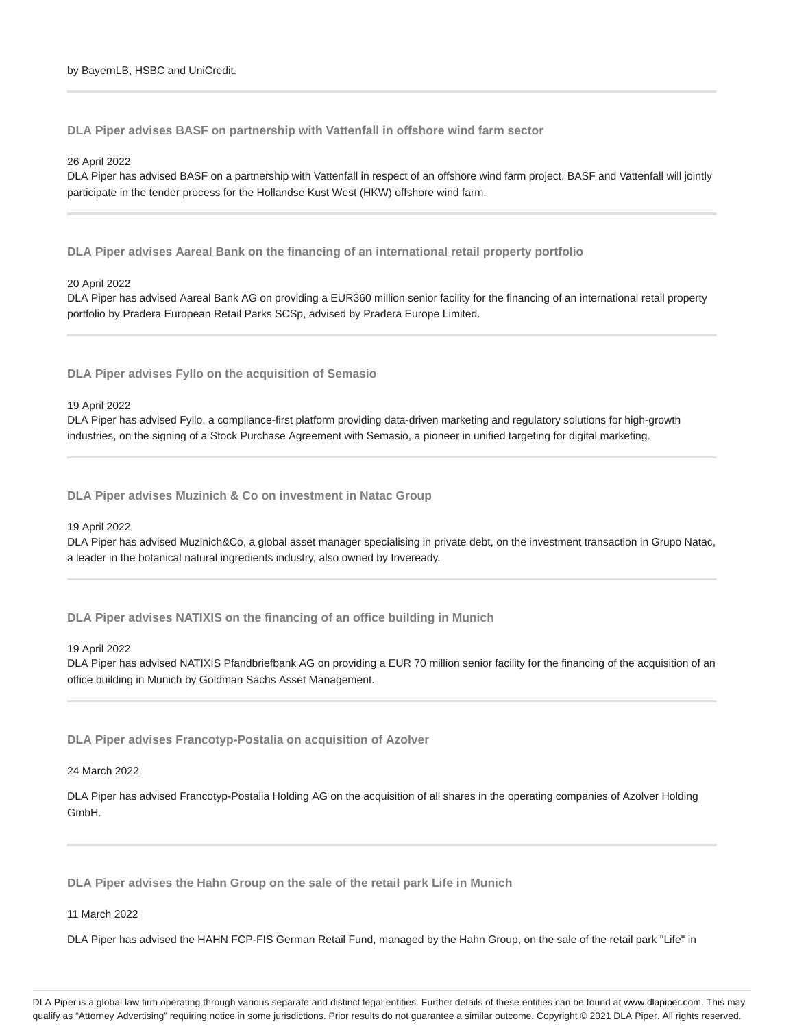**DLA Piper advises BASF on partnership with Vattenfall in offshore wind farm sector**

26 April 2022

DLA Piper has advised BASF on a partnership with Vattenfall in respect of an offshore wind farm project. BASF and Vattenfall will jointly participate in the tender process for the Hollandse Kust West (HKW) offshore wind farm.

**DLA Piper advises Aareal Bank on the financing of an international retail property portfolio**

20 April 2022

DLA Piper has advised Aareal Bank AG on providing a EUR360 million senior facility for the financing of an international retail property portfolio by Pradera European Retail Parks SCSp, advised by Pradera Europe Limited.

**DLA Piper advises Fyllo on the acquisition of Semasio**

19 April 2022

DLA Piper has advised Fyllo, a compliance-first platform providing data-driven marketing and regulatory solutions for high-growth industries, on the signing of a Stock Purchase Agreement with Semasio, a pioneer in unified targeting for digital marketing.

**DLA Piper advises Muzinich & Co on investment in Natac Group**

19 April 2022

DLA Piper has advised Muzinich&Co, a global asset manager specialising in private debt, on the investment transaction in Grupo Natac, a leader in the botanical natural ingredients industry, also owned by Inveready.

**DLA Piper advises NATIXIS on the financing of an office building in Munich**

19 April 2022

DLA Piper has advised NATIXIS Pfandbriefbank AG on providing a EUR 70 million senior facility for the financing of the acquisition of an office building in Munich by Goldman Sachs Asset Management.

**DLA Piper advises Francotyp-Postalia on acquisition of Azolver**

24 March 2022

DLA Piper has advised Francotyp-Postalia Holding AG on the acquisition of all shares in the operating companies of Azolver Holding GmbH.

**DLA Piper advises the Hahn Group on the sale of the retail park Life in Munich**

11 March 2022

DLA Piper has advised the HAHN FCP-FIS German Retail Fund, managed by the Hahn Group, on the sale of the retail park "Life" in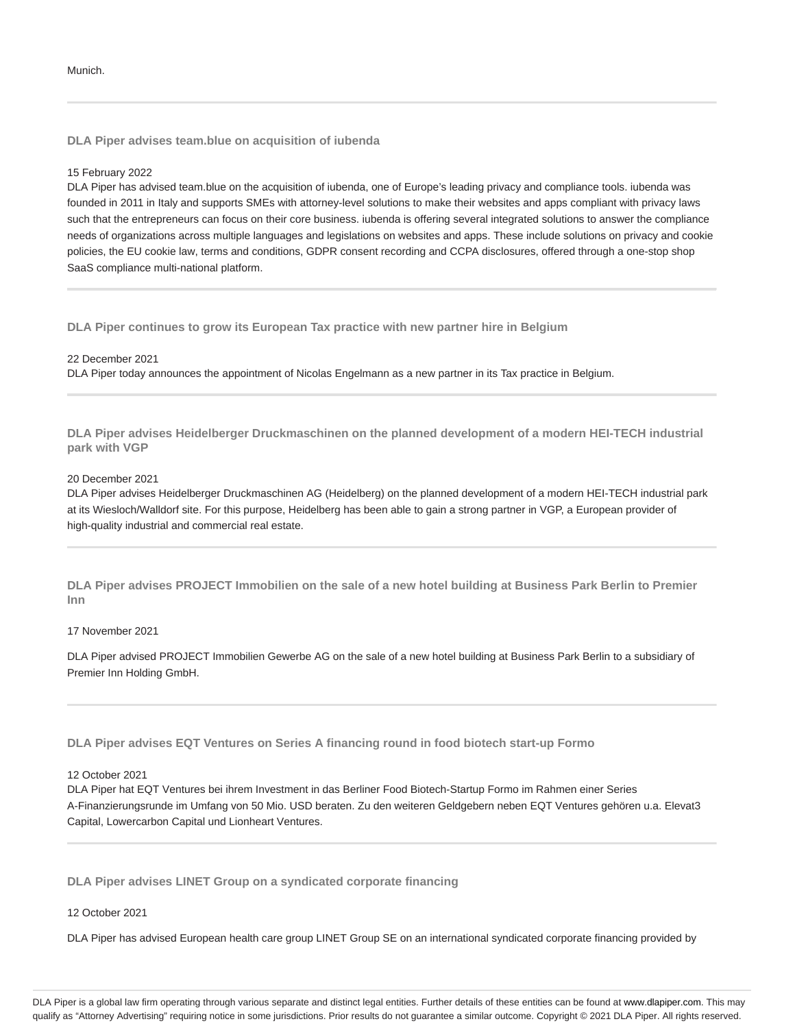**DLA Piper advises team.blue on acquisition of iubenda**

### 15 February 2022

DLA Piper has advised team.blue on the acquisition of iubenda, one of Europe's leading privacy and compliance tools. iubenda was founded in 2011 in Italy and supports SMEs with attorney-level solutions to make their websites and apps compliant with privacy laws such that the entrepreneurs can focus on their core business. iubenda is offering several integrated solutions to answer the compliance needs of organizations across multiple languages and legislations on websites and apps. These include solutions on privacy and cookie policies, the EU cookie law, terms and conditions, GDPR consent recording and CCPA disclosures, offered through a one-stop shop SaaS compliance multi-national platform.

**DLA Piper continues to grow its European Tax practice with new partner hire in Belgium**

#### 22 December 2021

DLA Piper today announces the appointment of Nicolas Engelmann as a new partner in its Tax practice in Belgium.

**DLA Piper advises Heidelberger Druckmaschinen on the planned development of a modern HEI-TECH industrial park with VGP**

### 20 December 2021

DLA Piper advises Heidelberger Druckmaschinen AG (Heidelberg) on the planned development of a modern HEI-TECH industrial park at its Wiesloch/Walldorf site. For this purpose, Heidelberg has been able to gain a strong partner in VGP, a European provider of high-quality industrial and commercial real estate.

**DLA Piper advises PROJECT Immobilien on the sale of a new hotel building at Business Park Berlin to Premier Inn**

### 17 November 2021

DLA Piper advised PROJECT Immobilien Gewerbe AG on the sale of a new hotel building at Business Park Berlin to a subsidiary of Premier Inn Holding GmbH.

**DLA Piper advises EQT Ventures on Series A financing round in food biotech start-up Formo**

### 12 October 2021

DLA Piper hat EQT Ventures bei ihrem Investment in das Berliner Food Biotech-Startup Formo im Rahmen einer Series A-Finanzierungsrunde im Umfang von 50 Mio. USD beraten. Zu den weiteren Geldgebern neben EQT Ventures gehören u.a. Elevat3 Capital, Lowercarbon Capital und Lionheart Ventures.

**DLA Piper advises LINET Group on a syndicated corporate financing**

# 12 October 2021

DLA Piper has advised European health care group LINET Group SE on an international syndicated corporate financing provided by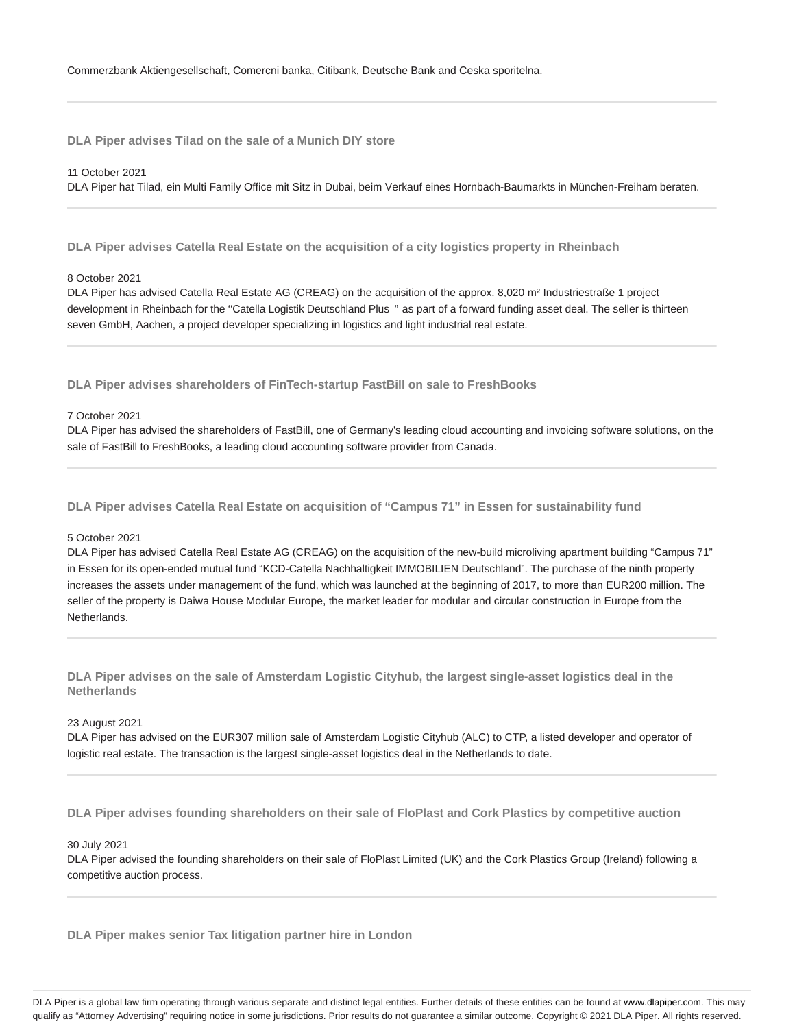**DLA Piper advises Tilad on the sale of a Munich DIY store**

### 11 October 2021

DLA Piper hat Tilad, ein Multi Family Office mit Sitz in Dubai, beim Verkauf eines Hornbach-Baumarkts in München-Freiham beraten.

**DLA Piper advises Catella Real Estate on the acquisition of a city logistics property in Rheinbach**

#### 8 October 2021

DLA Piper has advised Catella Real Estate AG (CREAG) on the acquisition of the approx. 8,020 m² Industriestraße 1 project development in Rheinbach for the "Catella Logistik Deutschland Plus " as part of a forward funding asset deal. The seller is thirteen seven GmbH, Aachen, a project developer specializing in logistics and light industrial real estate.

**DLA Piper advises shareholders of FinTech-startup FastBill on sale to FreshBooks**

### 7 October 2021

DLA Piper has advised the shareholders of FastBill, one of Germany's leading cloud accounting and invoicing software solutions, on the sale of FastBill to FreshBooks, a leading cloud accounting software provider from Canada.

**DLA Piper advises Catella Real Estate on acquisition of "Campus 71" in Essen for sustainability fund**

#### 5 October 2021

DLA Piper has advised Catella Real Estate AG (CREAG) on the acquisition of the new-build microliving apartment building "Campus 71" in Essen for its open-ended mutual fund "KCD-Catella Nachhaltigkeit IMMOBILIEN Deutschland". The purchase of the ninth property increases the assets under management of the fund, which was launched at the beginning of 2017, to more than EUR200 million. The seller of the property is Daiwa House Modular Europe, the market leader for modular and circular construction in Europe from the Netherlands.

**DLA Piper advises on the sale of Amsterdam Logistic Cityhub, the largest single-asset logistics deal in the Netherlands**

#### 23 August 2021

DLA Piper has advised on the EUR307 million sale of Amsterdam Logistic Cityhub (ALC) to CTP, a listed developer and operator of logistic real estate. The transaction is the largest single-asset logistics deal in the Netherlands to date.

**DLA Piper advises founding shareholders on their sale of FloPlast and Cork Plastics by competitive auction**

#### 30 July 2021

DLA Piper advised the founding shareholders on their sale of FloPlast Limited (UK) and the Cork Plastics Group (Ireland) following a competitive auction process.

**DLA Piper makes senior Tax litigation partner hire in London**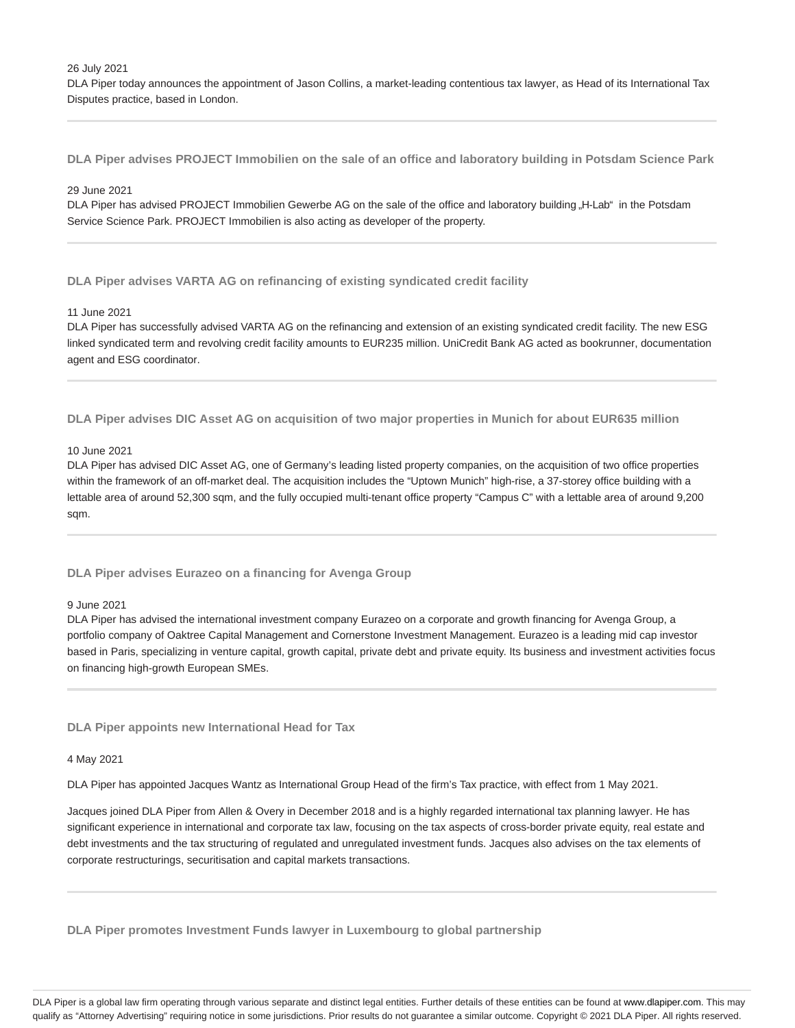26 July 2021

DLA Piper today announces the appointment of Jason Collins, a market-leading contentious tax lawyer, as Head of its International Tax Disputes practice, based in London.

**DLA Piper advises PROJECT Immobilien on the sale of an office and laboratory building in Potsdam Science Park**

#### 29 June 2021

DLA Piper has advised PROJECT Immobilien Gewerbe AG on the sale of the office and laboratory building "H-Lab" in the Potsdam Service Science Park. PROJECT Immobilien is also acting as developer of the property.

**DLA Piper advises VARTA AG on refinancing of existing syndicated credit facility**

### 11 June 2021

DLA Piper has successfully advised VARTA AG on the refinancing and extension of an existing syndicated credit facility. The new ESG linked syndicated term and revolving credit facility amounts to EUR235 million. UniCredit Bank AG acted as bookrunner, documentation agent and ESG coordinator.

**DLA Piper advises DIC Asset AG on acquisition of two major properties in Munich for about EUR635 million**

# 10 June 2021

DLA Piper has advised DIC Asset AG, one of Germany's leading listed property companies, on the acquisition of two office properties within the framework of an off-market deal. The acquisition includes the "Uptown Munich" high-rise, a 37-storey office building with a lettable area of around 52,300 sqm, and the fully occupied multi-tenant office property "Campus C" with a lettable area of around 9,200 sqm.

### **DLA Piper advises Eurazeo on a financing for Avenga Group**

#### 9 June 2021

DLA Piper has advised the international investment company Eurazeo on a corporate and growth financing for Avenga Group, a portfolio company of Oaktree Capital Management and Cornerstone Investment Management. Eurazeo is a leading mid cap investor based in Paris, specializing in venture capital, growth capital, private debt and private equity. Its business and investment activities focus on financing high-growth European SMEs.

**DLA Piper appoints new International Head for Tax**

#### 4 May 2021

DLA Piper has appointed Jacques Wantz as International Group Head of the firm's Tax practice, with effect from 1 May 2021.

Jacques joined DLA Piper from Allen & Overy in December 2018 and is a highly regarded international tax planning lawyer. He has significant experience in international and corporate tax law, focusing on the tax aspects of cross-border private equity, real estate and debt investments and the tax structuring of regulated and unregulated investment funds. Jacques also advises on the tax elements of corporate restructurings, securitisation and capital markets transactions.

**DLA Piper promotes Investment Funds lawyer in Luxembourg to global partnership**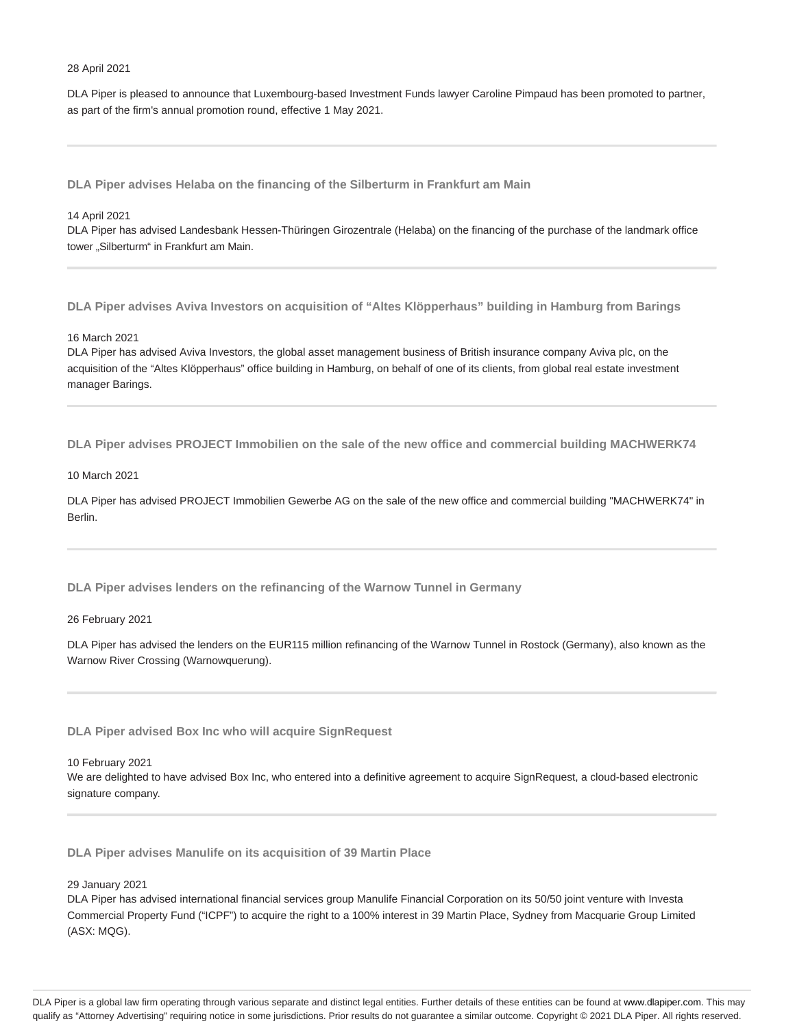#### 28 April 2021

DLA Piper is pleased to announce that Luxembourg-based Investment Funds lawyer Caroline Pimpaud has been promoted to partner, as part of the firm's annual promotion round, effective 1 May 2021.

**DLA Piper advises Helaba on the financing of the Silberturm in Frankfurt am Main**

#### 14 April 2021

DLA Piper has advised Landesbank Hessen-Thüringen Girozentrale (Helaba) on the financing of the purchase of the landmark office tower "Silberturm" in Frankfurt am Main.

**DLA Piper advises Aviva Investors on acquisition of "Altes Klöpperhaus" building in Hamburg from Barings**

### 16 March 2021

DLA Piper has advised Aviva Investors, the global asset management business of British insurance company Aviva plc, on the acquisition of the "Altes Klöpperhaus" office building in Hamburg, on behalf of one of its clients, from global real estate investment manager Barings.

**DLA Piper advises PROJECT Immobilien on the sale of the new office and commercial building MACHWERK74**

#### 10 March 2021

DLA Piper has advised PROJECT Immobilien Gewerbe AG on the sale of the new office and commercial building "MACHWERK74" in Berlin.

**DLA Piper advises lenders on the refinancing of the Warnow Tunnel in Germany**

26 February 2021

DLA Piper has advised the lenders on the EUR115 million refinancing of the Warnow Tunnel in Rostock (Germany), also known as the Warnow River Crossing (Warnowquerung).

**DLA Piper advised Box Inc who will acquire SignRequest**

10 February 2021

We are delighted to have advised Box Inc, who entered into a definitive agreement to acquire SignRequest, a cloud-based electronic signature company.

**DLA Piper advises Manulife on its acquisition of 39 Martin Place**

29 January 2021

DLA Piper has advised international financial services group Manulife Financial Corporation on its 50/50 joint venture with Investa Commercial Property Fund ("ICPF") to acquire the right to a 100% interest in 39 Martin Place, Sydney from Macquarie Group Limited (ASX: MQG).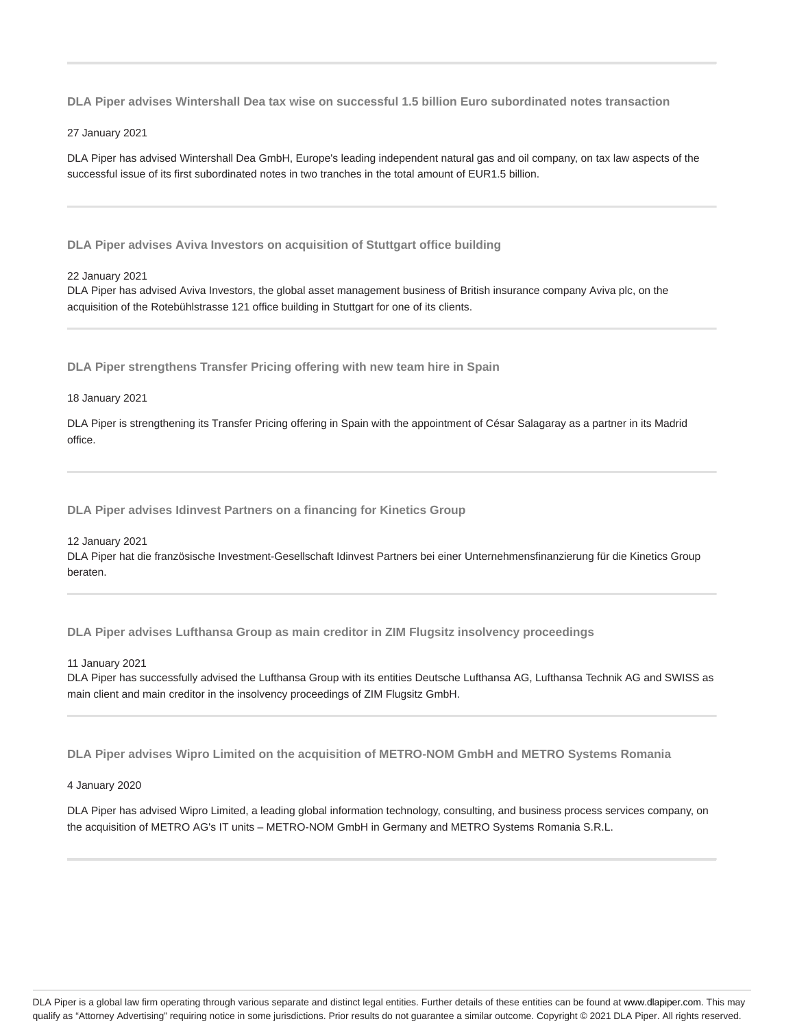**DLA Piper advises Wintershall Dea tax wise on successful 1.5 billion Euro subordinated notes transaction**

27 January 2021

DLA Piper has advised Wintershall Dea GmbH, Europe's leading independent natural gas and oil company, on tax law aspects of the successful issue of its first subordinated notes in two tranches in the total amount of EUR1.5 billion.

**DLA Piper advises Aviva Investors on acquisition of Stuttgart office building**

22 January 2021

DLA Piper has advised Aviva Investors, the global asset management business of British insurance company Aviva plc, on the acquisition of the Rotebühlstrasse 121 office building in Stuttgart for one of its clients.

**DLA Piper strengthens Transfer Pricing offering with new team hire in Spain**

18 January 2021

DLA Piper is strengthening its Transfer Pricing offering in Spain with the appointment of César Salagaray as a partner in its Madrid office.

**DLA Piper advises Idinvest Partners on a financing for Kinetics Group**

12 January 2021

DLA Piper hat die französische Investment-Gesellschaft Idinvest Partners bei einer Unternehmensfinanzierung für die Kinetics Group beraten.

**DLA Piper advises Lufthansa Group as main creditor in ZIM Flugsitz insolvency proceedings**

11 January 2021

DLA Piper has successfully advised the Lufthansa Group with its entities Deutsche Lufthansa AG, Lufthansa Technik AG and SWISS as main client and main creditor in the insolvency proceedings of ZIM Flugsitz GmbH.

**DLA Piper advises Wipro Limited on the acquisition of METRO-NOM GmbH and METRO Systems Romania**

4 January 2020

DLA Piper has advised Wipro Limited, a leading global information technology, consulting, and business process services company, on the acquisition of METRO AG's IT units – METRO-NOM GmbH in Germany and METRO Systems Romania S.R.L.